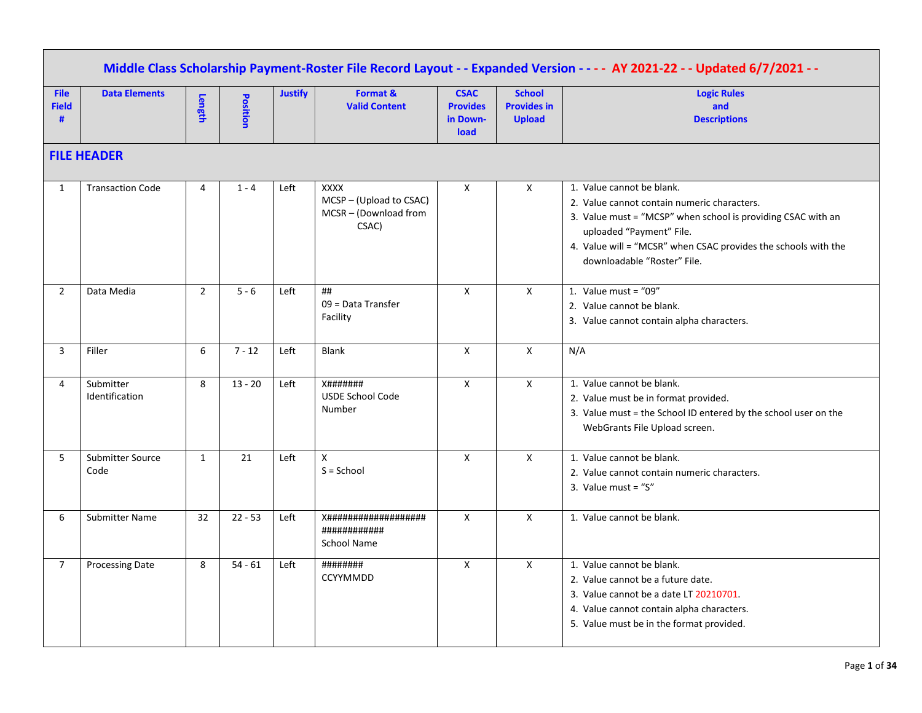|                                  | Middle Class Scholarship Payment-Roster File Record Layout - - Expanded Version - - - - AY 2021-22 - - Updated 6/7/2021 - - |                |           |                |                                                                      |                                                           |                                                      |                                                                                                                                                                                                                                                                       |  |  |  |  |  |
|----------------------------------|-----------------------------------------------------------------------------------------------------------------------------|----------------|-----------|----------------|----------------------------------------------------------------------|-----------------------------------------------------------|------------------------------------------------------|-----------------------------------------------------------------------------------------------------------------------------------------------------------------------------------------------------------------------------------------------------------------------|--|--|--|--|--|
| <b>File</b><br><b>Field</b><br># | <b>Data Elements</b>                                                                                                        | Length         | Position  | <b>Justify</b> | Format &<br><b>Valid Content</b>                                     | <b>CSAC</b><br><b>Provides</b><br>in Down-<br><b>load</b> | <b>School</b><br><b>Provides in</b><br><b>Upload</b> | <b>Logic Rules</b><br>and<br><b>Descriptions</b>                                                                                                                                                                                                                      |  |  |  |  |  |
|                                  | <b>FILE HEADER</b>                                                                                                          |                |           |                |                                                                      |                                                           |                                                      |                                                                                                                                                                                                                                                                       |  |  |  |  |  |
| $\mathbf{1}$                     | <b>Transaction Code</b>                                                                                                     | 4              | $1 - 4$   | Left           | <b>XXXX</b><br>MCSP-(Upload to CSAC)<br>MCSR-(Download from<br>CSAC) | X                                                         | X                                                    | 1. Value cannot be blank.<br>2. Value cannot contain numeric characters.<br>3. Value must = "MCSP" when school is providing CSAC with an<br>uploaded "Payment" File.<br>4. Value will = "MCSR" when CSAC provides the schools with the<br>downloadable "Roster" File. |  |  |  |  |  |
| $\overline{2}$                   | Data Media                                                                                                                  | $\overline{2}$ | $5 - 6$   | Left           | ##<br>09 = Data Transfer<br>Facility                                 | X                                                         | $\mathsf{X}$                                         | 1. Value must = " $09$ "<br>2. Value cannot be blank.<br>3. Value cannot contain alpha characters.                                                                                                                                                                    |  |  |  |  |  |
| 3                                | Filler                                                                                                                      | 6              | $7 - 12$  | Left           | Blank                                                                | X                                                         | $\mathsf{x}$                                         | N/A                                                                                                                                                                                                                                                                   |  |  |  |  |  |
| 4                                | Submitter<br>Identification                                                                                                 | 8              | $13 - 20$ | Left           | <b>X#######</b><br><b>USDE School Code</b><br>Number                 | $\mathsf{X}$                                              | $\mathsf{X}$                                         | 1. Value cannot be blank.<br>2. Value must be in format provided.<br>3. Value must = the School ID entered by the school user on the<br>WebGrants File Upload screen.                                                                                                 |  |  |  |  |  |
| 5                                | Submitter Source<br>Code                                                                                                    | $\mathbf{1}$   | 21        | Left           | $\mathsf{X}$<br>$S =$ School                                         | $\mathsf{X}$                                              | $\mathsf{X}$                                         | 1. Value cannot be blank.<br>2. Value cannot contain numeric characters.<br>3. Value must = " $S$ "                                                                                                                                                                   |  |  |  |  |  |
| 6                                | <b>Submitter Name</b>                                                                                                       | 32             | $22 - 53$ | Left           | ############<br>School Name                                          | $\mathsf{X}$                                              | $\mathsf{X}$                                         | 1. Value cannot be blank.                                                                                                                                                                                                                                             |  |  |  |  |  |
| $\overline{7}$                   | <b>Processing Date</b>                                                                                                      | 8              | $54 - 61$ | Left           | ########<br><b>CCYYMMDD</b>                                          | $\mathsf{X}$                                              | $\mathsf{x}$                                         | 1. Value cannot be blank.<br>2. Value cannot be a future date.<br>3. Value cannot be a date LT 20210701.<br>4. Value cannot contain alpha characters.<br>5. Value must be in the format provided.                                                                     |  |  |  |  |  |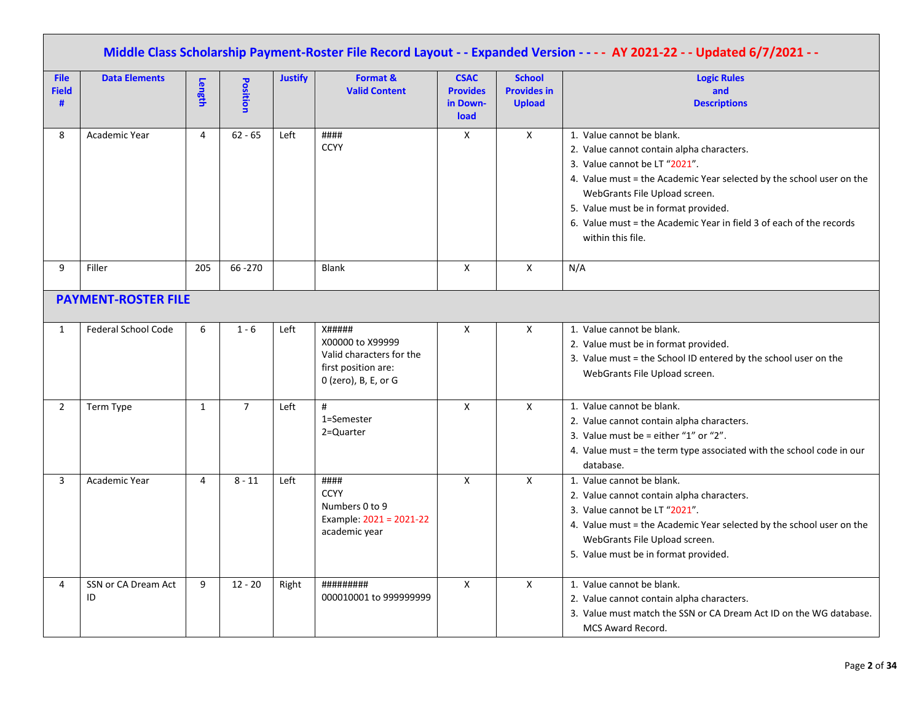|                                  | Middle Class Scholarship Payment-Roster File Record Layout - - Expanded Version - - - - AY 2021-22 - - Updated 6/7/2021 - - |                |                 |                |                                                                                                              |                                                    |                                                      |                                                                                                                                                                                                                                                                                                                                                      |  |  |  |  |  |
|----------------------------------|-----------------------------------------------------------------------------------------------------------------------------|----------------|-----------------|----------------|--------------------------------------------------------------------------------------------------------------|----------------------------------------------------|------------------------------------------------------|------------------------------------------------------------------------------------------------------------------------------------------------------------------------------------------------------------------------------------------------------------------------------------------------------------------------------------------------------|--|--|--|--|--|
| <b>File</b><br><b>Field</b><br># | <b>Data Elements</b>                                                                                                        | Length         | <b>Position</b> | <b>Justify</b> | Format &<br><b>Valid Content</b>                                                                             | <b>CSAC</b><br><b>Provides</b><br>in Down-<br>load | <b>School</b><br><b>Provides in</b><br><b>Upload</b> | <b>Logic Rules</b><br>and<br><b>Descriptions</b>                                                                                                                                                                                                                                                                                                     |  |  |  |  |  |
| 8                                | Academic Year                                                                                                               | 4              | $62 - 65$       | Left           | ####<br><b>CCYY</b>                                                                                          | X                                                  | Χ                                                    | 1. Value cannot be blank.<br>2. Value cannot contain alpha characters.<br>3. Value cannot be LT "2021".<br>4. Value must = the Academic Year selected by the school user on the<br>WebGrants File Upload screen.<br>5. Value must be in format provided.<br>6. Value must = the Academic Year in field 3 of each of the records<br>within this file. |  |  |  |  |  |
| 9                                | Filler                                                                                                                      | 205            | 66 - 270        |                | <b>Blank</b>                                                                                                 | X                                                  | X                                                    | N/A                                                                                                                                                                                                                                                                                                                                                  |  |  |  |  |  |
| <b>PAYMENT-ROSTER FILE</b>       |                                                                                                                             |                |                 |                |                                                                                                              |                                                    |                                                      |                                                                                                                                                                                                                                                                                                                                                      |  |  |  |  |  |
| $\mathbf{1}$                     | <b>Federal School Code</b>                                                                                                  | 6              | $1 - 6$         | Left           | <b>X#####</b><br>X00000 to X99999<br>Valid characters for the<br>first position are:<br>0 (zero), B, E, or G | X                                                  | X                                                    | 1. Value cannot be blank.<br>2. Value must be in format provided.<br>3. Value must = the School ID entered by the school user on the<br>WebGrants File Upload screen.                                                                                                                                                                                |  |  |  |  |  |
| $\overline{2}$                   | Term Type                                                                                                                   | $\mathbf{1}$   | $\overline{7}$  | Left           | #<br>1=Semester<br>2=Quarter                                                                                 | X                                                  | X                                                    | 1. Value cannot be blank.<br>2. Value cannot contain alpha characters.<br>3. Value must be = either "1" or "2".<br>4. Value must = the term type associated with the school code in our<br>database.                                                                                                                                                 |  |  |  |  |  |
| 3                                | Academic Year                                                                                                               | $\overline{4}$ | $8 - 11$        | Left           | ####<br><b>CCYY</b><br>Numbers 0 to 9<br>Example: 2021 = 2021-22<br>academic year                            | $\pmb{\mathsf{X}}$                                 | $\pmb{\times}$                                       | 1. Value cannot be blank.<br>2. Value cannot contain alpha characters.<br>3. Value cannot be LT "2021".<br>4. Value must = the Academic Year selected by the school user on the<br>WebGrants File Upload screen.<br>5. Value must be in format provided.                                                                                             |  |  |  |  |  |
| 4                                | SSN or CA Dream Act<br>ID                                                                                                   | 9              | $12 - 20$       | Right          | #########<br>000010001 to 999999999                                                                          | $\mathsf{X}$                                       | $\mathsf{x}$                                         | 1. Value cannot be blank.<br>2. Value cannot contain alpha characters.<br>3. Value must match the SSN or CA Dream Act ID on the WG database.<br>MCS Award Record.                                                                                                                                                                                    |  |  |  |  |  |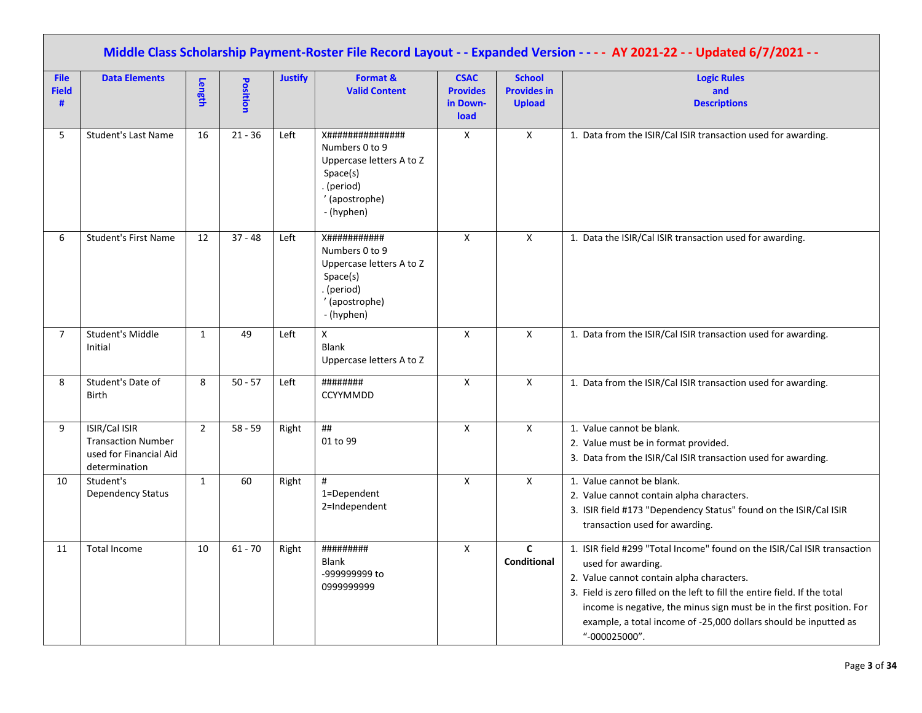|                                  | Middle Class Scholarship Payment-Roster File Record Layout - - Expanded Version - - - - AY 2021-22 - - Updated 6/7/2021 - - |                |           |                |                                                                                                                                 |                                                    |                                                      |                                                                                                                                                                                                                                                                                                                                                                                         |  |  |  |  |
|----------------------------------|-----------------------------------------------------------------------------------------------------------------------------|----------------|-----------|----------------|---------------------------------------------------------------------------------------------------------------------------------|----------------------------------------------------|------------------------------------------------------|-----------------------------------------------------------------------------------------------------------------------------------------------------------------------------------------------------------------------------------------------------------------------------------------------------------------------------------------------------------------------------------------|--|--|--|--|
| <b>File</b><br><b>Field</b><br># | <b>Data Elements</b>                                                                                                        | Length         | Position  | <b>Justify</b> | Format &<br><b>Valid Content</b>                                                                                                | <b>CSAC</b><br><b>Provides</b><br>in Down-<br>load | <b>School</b><br><b>Provides in</b><br><b>Upload</b> | <b>Logic Rules</b><br>and<br><b>Descriptions</b>                                                                                                                                                                                                                                                                                                                                        |  |  |  |  |
| 5                                | <b>Student's Last Name</b>                                                                                                  | 16             | $21 - 36$ | Left           | <b>X###############</b><br>Numbers 0 to 9<br>Uppercase letters A to Z<br>Space(s)<br>. (period)<br>' (apostrophe)<br>- (hyphen) | X                                                  | $\mathsf{X}$                                         | 1. Data from the ISIR/Cal ISIR transaction used for awarding.                                                                                                                                                                                                                                                                                                                           |  |  |  |  |
| 6                                | <b>Student's First Name</b>                                                                                                 | 12             | $37 - 48$ | Left           | <b>X###########</b><br>Numbers 0 to 9<br>Uppercase letters A to Z<br>Space(s)<br>. (period)<br>' (apostrophe)<br>- (hyphen)     | $\mathsf X$                                        | $\boldsymbol{\mathsf{X}}$                            | 1. Data the ISIR/Cal ISIR transaction used for awarding.                                                                                                                                                                                                                                                                                                                                |  |  |  |  |
| $\overline{7}$                   | Student's Middle<br>Initial                                                                                                 | $\mathbf{1}$   | 49        | Left           | $\mathsf{x}$<br><b>Blank</b><br>Uppercase letters A to Z                                                                        | X                                                  | $\mathsf{X}$                                         | 1. Data from the ISIR/Cal ISIR transaction used for awarding.                                                                                                                                                                                                                                                                                                                           |  |  |  |  |
| 8                                | Student's Date of<br><b>Birth</b>                                                                                           | 8              | $50 - 57$ | Left           | ########<br>CCYYMMDD                                                                                                            | X                                                  | $\boldsymbol{\mathsf{X}}$                            | 1. Data from the ISIR/Cal ISIR transaction used for awarding.                                                                                                                                                                                                                                                                                                                           |  |  |  |  |
| 9                                | ISIR/Cal ISIR<br><b>Transaction Number</b><br>used for Financial Aid<br>determination                                       | $\overline{2}$ | $58 - 59$ | Right          | ##<br>01 to 99                                                                                                                  | X                                                  | $\mathsf{X}$                                         | 1. Value cannot be blank.<br>2. Value must be in format provided.<br>3. Data from the ISIR/Cal ISIR transaction used for awarding.                                                                                                                                                                                                                                                      |  |  |  |  |
| 10                               | Student's<br><b>Dependency Status</b>                                                                                       | $\mathbf{1}$   | 60        | Right          | #<br>1=Dependent<br>2=Independent                                                                                               | X                                                  | $\boldsymbol{\mathsf{X}}$                            | 1. Value cannot be blank.<br>2. Value cannot contain alpha characters.<br>3. ISIR field #173 "Dependency Status" found on the ISIR/Cal ISIR<br>transaction used for awarding.                                                                                                                                                                                                           |  |  |  |  |
| 11                               | <b>Total Income</b>                                                                                                         | 10             | $61 - 70$ | Right          | #########<br><b>Blank</b><br>-999999999 to<br>099999999                                                                         | X                                                  | $\mathsf{C}$<br>Conditional                          | 1. ISIR field #299 "Total Income" found on the ISIR/Cal ISIR transaction<br>used for awarding.<br>2. Value cannot contain alpha characters.<br>3. Field is zero filled on the left to fill the entire field. If the total<br>income is negative, the minus sign must be in the first position. For<br>example, a total income of -25,000 dollars should be inputted as<br>"-000025000". |  |  |  |  |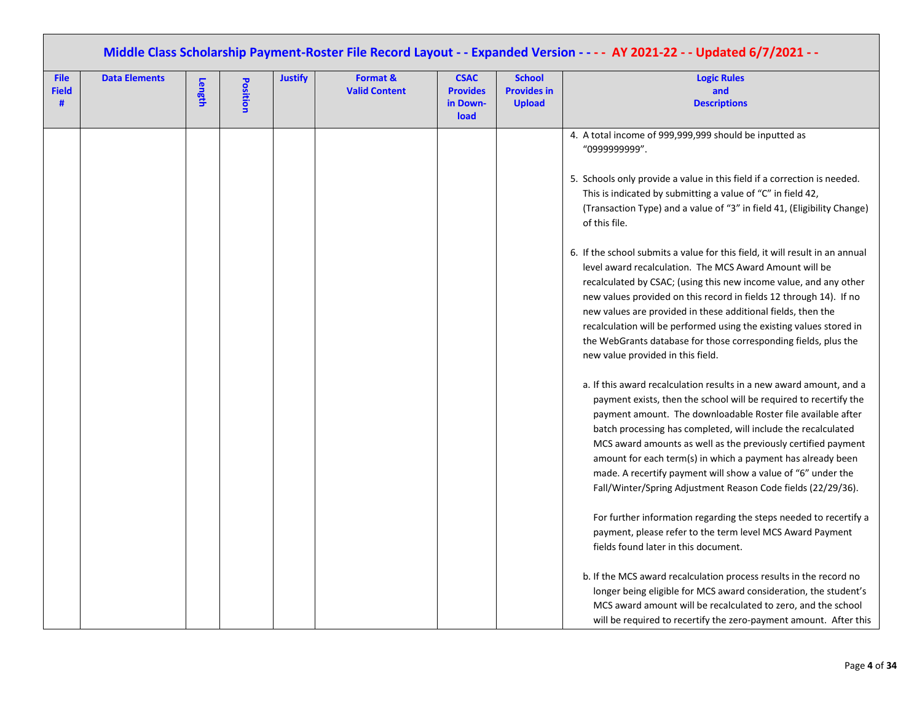| Middle Class Scholarship Payment-Roster File Record Layout - - Expanded Version - - - - AY 2021-22 - - Updated 6/7/2021 - - |                      |        |          |                |                                  |                                                    |                                                      |                                                                                                                                                                                                                                                                                                                                                                                                                                                                                                                                           |  |  |  |  |
|-----------------------------------------------------------------------------------------------------------------------------|----------------------|--------|----------|----------------|----------------------------------|----------------------------------------------------|------------------------------------------------------|-------------------------------------------------------------------------------------------------------------------------------------------------------------------------------------------------------------------------------------------------------------------------------------------------------------------------------------------------------------------------------------------------------------------------------------------------------------------------------------------------------------------------------------------|--|--|--|--|
| <b>File</b><br><b>Field</b><br>#                                                                                            | <b>Data Elements</b> | Length | Position | <b>Justify</b> | Format &<br><b>Valid Content</b> | <b>CSAC</b><br><b>Provides</b><br>in Down-<br>load | <b>School</b><br><b>Provides in</b><br><b>Upload</b> | <b>Logic Rules</b><br>and<br><b>Descriptions</b>                                                                                                                                                                                                                                                                                                                                                                                                                                                                                          |  |  |  |  |
|                                                                                                                             |                      |        |          |                |                                  |                                                    |                                                      | 4. A total income of 999,999,999 should be inputted as<br>"0999999999".                                                                                                                                                                                                                                                                                                                                                                                                                                                                   |  |  |  |  |
|                                                                                                                             |                      |        |          |                |                                  |                                                    |                                                      | 5. Schools only provide a value in this field if a correction is needed.<br>This is indicated by submitting a value of "C" in field 42,<br>(Transaction Type) and a value of "3" in field 41, (Eligibility Change)<br>of this file.                                                                                                                                                                                                                                                                                                       |  |  |  |  |
|                                                                                                                             |                      |        |          |                |                                  |                                                    |                                                      | 6. If the school submits a value for this field, it will result in an annual<br>level award recalculation. The MCS Award Amount will be<br>recalculated by CSAC; (using this new income value, and any other<br>new values provided on this record in fields 12 through 14). If no<br>new values are provided in these additional fields, then the<br>recalculation will be performed using the existing values stored in<br>the WebGrants database for those corresponding fields, plus the<br>new value provided in this field.         |  |  |  |  |
|                                                                                                                             |                      |        |          |                |                                  |                                                    |                                                      | a. If this award recalculation results in a new award amount, and a<br>payment exists, then the school will be required to recertify the<br>payment amount. The downloadable Roster file available after<br>batch processing has completed, will include the recalculated<br>MCS award amounts as well as the previously certified payment<br>amount for each term(s) in which a payment has already been<br>made. A recertify payment will show a value of "6" under the<br>Fall/Winter/Spring Adjustment Reason Code fields (22/29/36). |  |  |  |  |
|                                                                                                                             |                      |        |          |                |                                  |                                                    |                                                      | For further information regarding the steps needed to recertify a<br>payment, please refer to the term level MCS Award Payment<br>fields found later in this document.                                                                                                                                                                                                                                                                                                                                                                    |  |  |  |  |
|                                                                                                                             |                      |        |          |                |                                  |                                                    |                                                      | b. If the MCS award recalculation process results in the record no<br>longer being eligible for MCS award consideration, the student's<br>MCS award amount will be recalculated to zero, and the school<br>will be required to recertify the zero-payment amount. After this                                                                                                                                                                                                                                                              |  |  |  |  |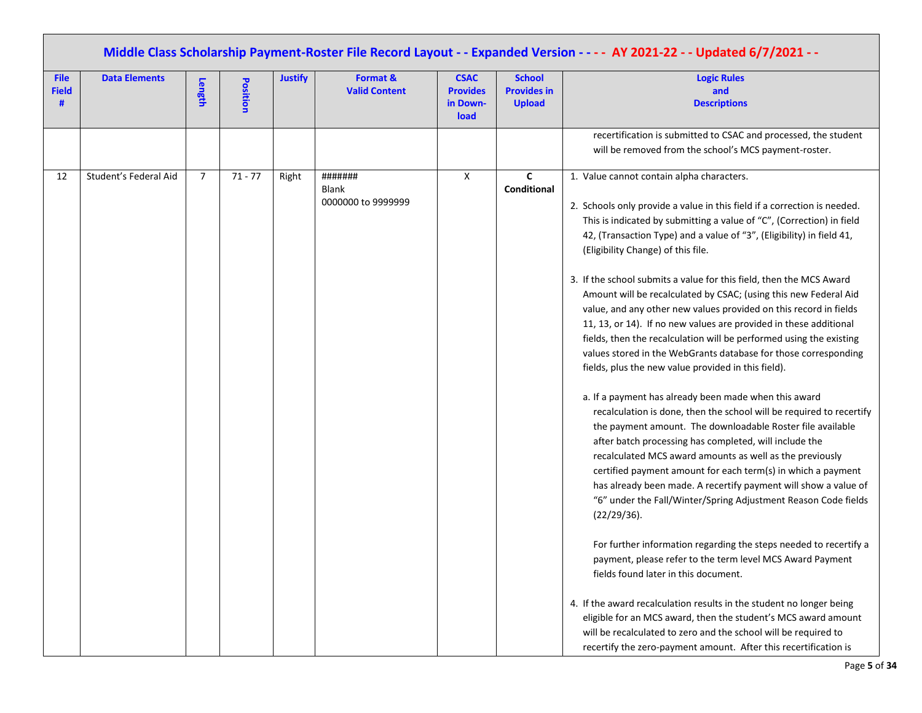|                                  | Middle Class Scholarship Payment-Roster File Record Layout - - Expanded Version - - - - AY 2021-22 - - Updated 6/7/2021 - - |                |           |                |                                        |                                                    |                                                      |                                                                                                                                                                                                                                                                                                                                                                                                                                                                                                                                                                                                                                                                                                                                                                                                                                                                                                                                                                                                                                                                                                                                                                                                                                                                                                                                                                                                                                                                                                                                                                                                                                                                                                                                                                                                         |  |  |  |  |
|----------------------------------|-----------------------------------------------------------------------------------------------------------------------------|----------------|-----------|----------------|----------------------------------------|----------------------------------------------------|------------------------------------------------------|---------------------------------------------------------------------------------------------------------------------------------------------------------------------------------------------------------------------------------------------------------------------------------------------------------------------------------------------------------------------------------------------------------------------------------------------------------------------------------------------------------------------------------------------------------------------------------------------------------------------------------------------------------------------------------------------------------------------------------------------------------------------------------------------------------------------------------------------------------------------------------------------------------------------------------------------------------------------------------------------------------------------------------------------------------------------------------------------------------------------------------------------------------------------------------------------------------------------------------------------------------------------------------------------------------------------------------------------------------------------------------------------------------------------------------------------------------------------------------------------------------------------------------------------------------------------------------------------------------------------------------------------------------------------------------------------------------------------------------------------------------------------------------------------------------|--|--|--|--|
| <b>File</b><br><b>Field</b><br># | <b>Data Elements</b>                                                                                                        | Length         | Position  | <b>Justify</b> | Format &<br><b>Valid Content</b>       | <b>CSAC</b><br><b>Provides</b><br>in Down-<br>load | <b>School</b><br><b>Provides in</b><br><b>Upload</b> | <b>Logic Rules</b><br>and<br><b>Descriptions</b>                                                                                                                                                                                                                                                                                                                                                                                                                                                                                                                                                                                                                                                                                                                                                                                                                                                                                                                                                                                                                                                                                                                                                                                                                                                                                                                                                                                                                                                                                                                                                                                                                                                                                                                                                        |  |  |  |  |
|                                  |                                                                                                                             |                |           |                |                                        |                                                    |                                                      | recertification is submitted to CSAC and processed, the student<br>will be removed from the school's MCS payment-roster.                                                                                                                                                                                                                                                                                                                                                                                                                                                                                                                                                                                                                                                                                                                                                                                                                                                                                                                                                                                                                                                                                                                                                                                                                                                                                                                                                                                                                                                                                                                                                                                                                                                                                |  |  |  |  |
| 12                               | Student's Federal Aid                                                                                                       | $\overline{7}$ | $71 - 77$ | Right          | #######<br>Blank<br>0000000 to 9999999 | $\mathsf{X}$                                       | C<br>Conditional                                     | 1. Value cannot contain alpha characters.<br>2. Schools only provide a value in this field if a correction is needed.<br>This is indicated by submitting a value of "C", (Correction) in field<br>42, (Transaction Type) and a value of "3", (Eligibility) in field 41,<br>(Eligibility Change) of this file.<br>3. If the school submits a value for this field, then the MCS Award<br>Amount will be recalculated by CSAC; (using this new Federal Aid<br>value, and any other new values provided on this record in fields<br>11, 13, or 14). If no new values are provided in these additional<br>fields, then the recalculation will be performed using the existing<br>values stored in the WebGrants database for those corresponding<br>fields, plus the new value provided in this field).<br>a. If a payment has already been made when this award<br>recalculation is done, then the school will be required to recertify<br>the payment amount. The downloadable Roster file available<br>after batch processing has completed, will include the<br>recalculated MCS award amounts as well as the previously<br>certified payment amount for each term(s) in which a payment<br>has already been made. A recertify payment will show a value of<br>"6" under the Fall/Winter/Spring Adjustment Reason Code fields<br>(22/29/36).<br>For further information regarding the steps needed to recertify a<br>payment, please refer to the term level MCS Award Payment<br>fields found later in this document.<br>4. If the award recalculation results in the student no longer being<br>eligible for an MCS award, then the student's MCS award amount<br>will be recalculated to zero and the school will be required to<br>recertify the zero-payment amount. After this recertification is |  |  |  |  |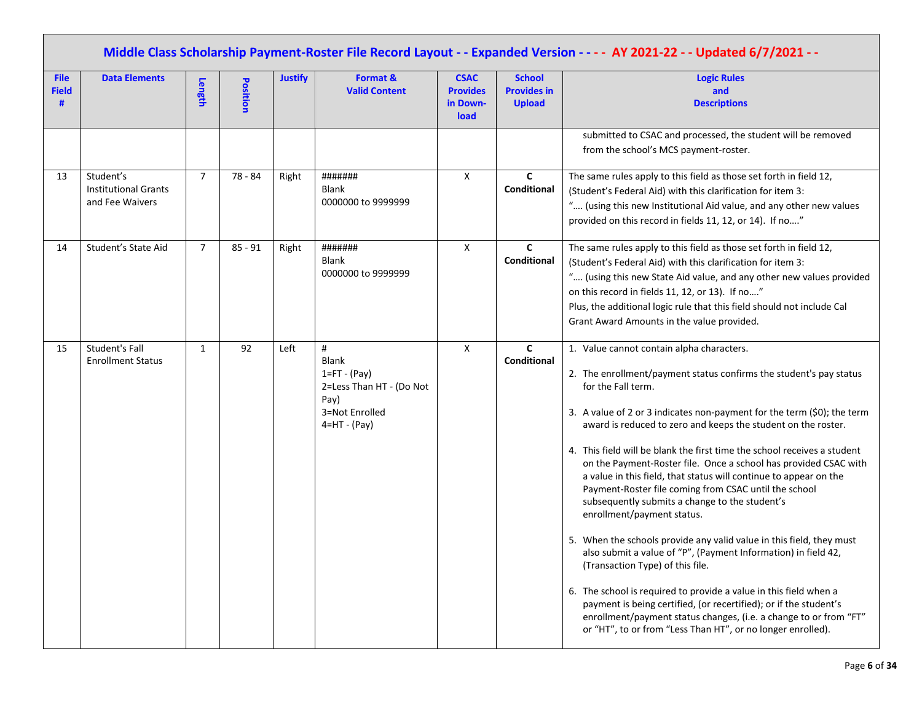|                                  | Middle Class Scholarship Payment-Roster File Record Layout - - Expanded Version - - - - AY 2021-22 - - Updated 6/7/2021 - - |                |                 |                |                                                                                                                  |                                                    |                                                      |                                                                                                                                                                                                                                                                                                                                                                                                                                                                                                                                                                                                                                                                                                                                                                                                                                                                                                                                                                                                                                                                                                             |  |  |  |  |
|----------------------------------|-----------------------------------------------------------------------------------------------------------------------------|----------------|-----------------|----------------|------------------------------------------------------------------------------------------------------------------|----------------------------------------------------|------------------------------------------------------|-------------------------------------------------------------------------------------------------------------------------------------------------------------------------------------------------------------------------------------------------------------------------------------------------------------------------------------------------------------------------------------------------------------------------------------------------------------------------------------------------------------------------------------------------------------------------------------------------------------------------------------------------------------------------------------------------------------------------------------------------------------------------------------------------------------------------------------------------------------------------------------------------------------------------------------------------------------------------------------------------------------------------------------------------------------------------------------------------------------|--|--|--|--|
| <b>File</b><br><b>Field</b><br># | <b>Data Elements</b>                                                                                                        | Length         | <b>Position</b> | <b>Justify</b> | Format &<br><b>Valid Content</b>                                                                                 | <b>CSAC</b><br><b>Provides</b><br>in Down-<br>load | <b>School</b><br><b>Provides in</b><br><b>Upload</b> | <b>Logic Rules</b><br>and<br><b>Descriptions</b>                                                                                                                                                                                                                                                                                                                                                                                                                                                                                                                                                                                                                                                                                                                                                                                                                                                                                                                                                                                                                                                            |  |  |  |  |
|                                  |                                                                                                                             |                |                 |                |                                                                                                                  |                                                    |                                                      | submitted to CSAC and processed, the student will be removed<br>from the school's MCS payment-roster.                                                                                                                                                                                                                                                                                                                                                                                                                                                                                                                                                                                                                                                                                                                                                                                                                                                                                                                                                                                                       |  |  |  |  |
| 13                               | Student's<br><b>Institutional Grants</b><br>and Fee Waivers                                                                 | $\overline{7}$ | 78 - 84         | Right          | #######<br>Blank<br>0000000 to 9999999                                                                           | X                                                  | C<br>Conditional                                     | The same rules apply to this field as those set forth in field 12,<br>(Student's Federal Aid) with this clarification for item 3:<br>" (using this new Institutional Aid value, and any other new values<br>provided on this record in fields 11, 12, or 14). If no"                                                                                                                                                                                                                                                                                                                                                                                                                                                                                                                                                                                                                                                                                                                                                                                                                                        |  |  |  |  |
| 14                               | Student's State Aid                                                                                                         | $\overline{7}$ | $85 - 91$       | Right          | #######<br><b>Blank</b><br>0000000 to 9999999                                                                    | X                                                  | C<br>Conditional                                     | The same rules apply to this field as those set forth in field 12,<br>(Student's Federal Aid) with this clarification for item 3:<br>" (using this new State Aid value, and any other new values provided<br>on this record in fields 11, 12, or 13). If no"<br>Plus, the additional logic rule that this field should not include Cal<br>Grant Award Amounts in the value provided.                                                                                                                                                                                                                                                                                                                                                                                                                                                                                                                                                                                                                                                                                                                        |  |  |  |  |
| 15                               | Student's Fall<br><b>Enrollment Status</b>                                                                                  | $\mathbf{1}$   | 92              | Left           | $\#$<br><b>Blank</b><br>$1 = FT - (Pay)$<br>2=Less Than HT - (Do Not<br>Pay)<br>3=Not Enrolled<br>$4=HT - (Pay)$ | X                                                  | $\mathbf{C}$<br>Conditional                          | 1. Value cannot contain alpha characters.<br>2. The enrollment/payment status confirms the student's pay status<br>for the Fall term.<br>3. A value of 2 or 3 indicates non-payment for the term (\$0); the term<br>award is reduced to zero and keeps the student on the roster.<br>4. This field will be blank the first time the school receives a student<br>on the Payment-Roster file. Once a school has provided CSAC with<br>a value in this field, that status will continue to appear on the<br>Payment-Roster file coming from CSAC until the school<br>subsequently submits a change to the student's<br>enrollment/payment status.<br>5. When the schools provide any valid value in this field, they must<br>also submit a value of "P", (Payment Information) in field 42,<br>(Transaction Type) of this file.<br>6. The school is required to provide a value in this field when a<br>payment is being certified, (or recertified); or if the student's<br>enrollment/payment status changes, (i.e. a change to or from "FT"<br>or "HT", to or from "Less Than HT", or no longer enrolled). |  |  |  |  |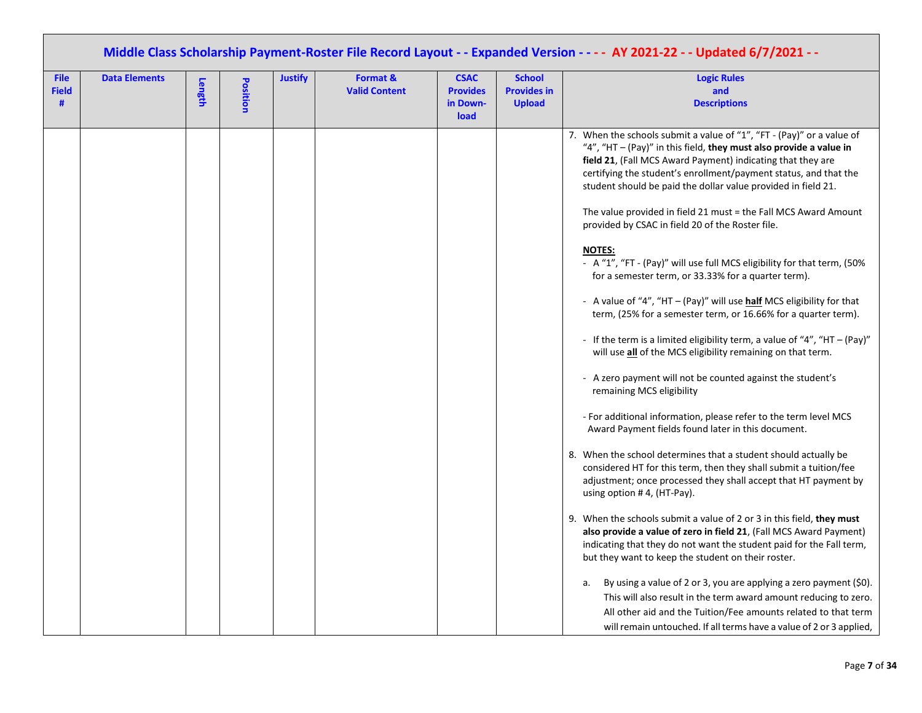| Middle Class Scholarship Payment-Roster File Record Layout - - Expanded Version - - - - AY 2021-22 - - Updated 6/7/2021 - - |                      |        |          |                |                                  |                                                    |                                                      |                                                                                                                                                                                                                                                                                                                                                                                                                                                                                         |  |  |  |  |
|-----------------------------------------------------------------------------------------------------------------------------|----------------------|--------|----------|----------------|----------------------------------|----------------------------------------------------|------------------------------------------------------|-----------------------------------------------------------------------------------------------------------------------------------------------------------------------------------------------------------------------------------------------------------------------------------------------------------------------------------------------------------------------------------------------------------------------------------------------------------------------------------------|--|--|--|--|
| <b>File</b><br><b>Field</b><br>#                                                                                            | <b>Data Elements</b> | Length | Position | <b>Justify</b> | Format &<br><b>Valid Content</b> | <b>CSAC</b><br><b>Provides</b><br>in Down-<br>load | <b>School</b><br><b>Provides in</b><br><b>Upload</b> | <b>Logic Rules</b><br>and<br><b>Descriptions</b>                                                                                                                                                                                                                                                                                                                                                                                                                                        |  |  |  |  |
|                                                                                                                             |                      |        |          |                |                                  |                                                    |                                                      | 7. When the schools submit a value of "1", "FT - (Pay)" or a value of<br>"4", "HT - (Pay)" in this field, they must also provide a value in<br>field 21, (Fall MCS Award Payment) indicating that they are<br>certifying the student's enrollment/payment status, and that the<br>student should be paid the dollar value provided in field 21.<br>The value provided in field 21 must = the Fall MCS Award Amount<br>provided by CSAC in field 20 of the Roster file.<br><b>NOTES:</b> |  |  |  |  |
|                                                                                                                             |                      |        |          |                |                                  |                                                    |                                                      | - A "1", "FT - (Pay)" will use full MCS eligibility for that term, (50%<br>for a semester term, or 33.33% for a quarter term).                                                                                                                                                                                                                                                                                                                                                          |  |  |  |  |
|                                                                                                                             |                      |        |          |                |                                  |                                                    |                                                      | - A value of "4", "HT - (Pay)" will use half MCS eligibility for that<br>term, (25% for a semester term, or 16.66% for a quarter term).                                                                                                                                                                                                                                                                                                                                                 |  |  |  |  |
|                                                                                                                             |                      |        |          |                |                                  |                                                    |                                                      | - If the term is a limited eligibility term, a value of "4", "HT - (Pay)"<br>will use all of the MCS eligibility remaining on that term.                                                                                                                                                                                                                                                                                                                                                |  |  |  |  |
|                                                                                                                             |                      |        |          |                |                                  |                                                    |                                                      | - A zero payment will not be counted against the student's<br>remaining MCS eligibility                                                                                                                                                                                                                                                                                                                                                                                                 |  |  |  |  |
|                                                                                                                             |                      |        |          |                |                                  |                                                    |                                                      | - For additional information, please refer to the term level MCS<br>Award Payment fields found later in this document.                                                                                                                                                                                                                                                                                                                                                                  |  |  |  |  |
|                                                                                                                             |                      |        |          |                |                                  |                                                    |                                                      | 8. When the school determines that a student should actually be<br>considered HT for this term, then they shall submit a tuition/fee<br>adjustment; once processed they shall accept that HT payment by<br>using option $# 4$ , (HT-Pay).                                                                                                                                                                                                                                               |  |  |  |  |
|                                                                                                                             |                      |        |          |                |                                  |                                                    |                                                      | 9. When the schools submit a value of 2 or 3 in this field, they must<br>also provide a value of zero in field 21, (Fall MCS Award Payment)<br>indicating that they do not want the student paid for the Fall term,<br>but they want to keep the student on their roster.                                                                                                                                                                                                               |  |  |  |  |
|                                                                                                                             |                      |        |          |                |                                  |                                                    |                                                      | By using a value of 2 or 3, you are applying a zero payment (\$0).<br>а.<br>This will also result in the term award amount reducing to zero.                                                                                                                                                                                                                                                                                                                                            |  |  |  |  |
|                                                                                                                             |                      |        |          |                |                                  |                                                    |                                                      | All other aid and the Tuition/Fee amounts related to that term                                                                                                                                                                                                                                                                                                                                                                                                                          |  |  |  |  |
|                                                                                                                             |                      |        |          |                |                                  |                                                    |                                                      | will remain untouched. If all terms have a value of 2 or 3 applied,                                                                                                                                                                                                                                                                                                                                                                                                                     |  |  |  |  |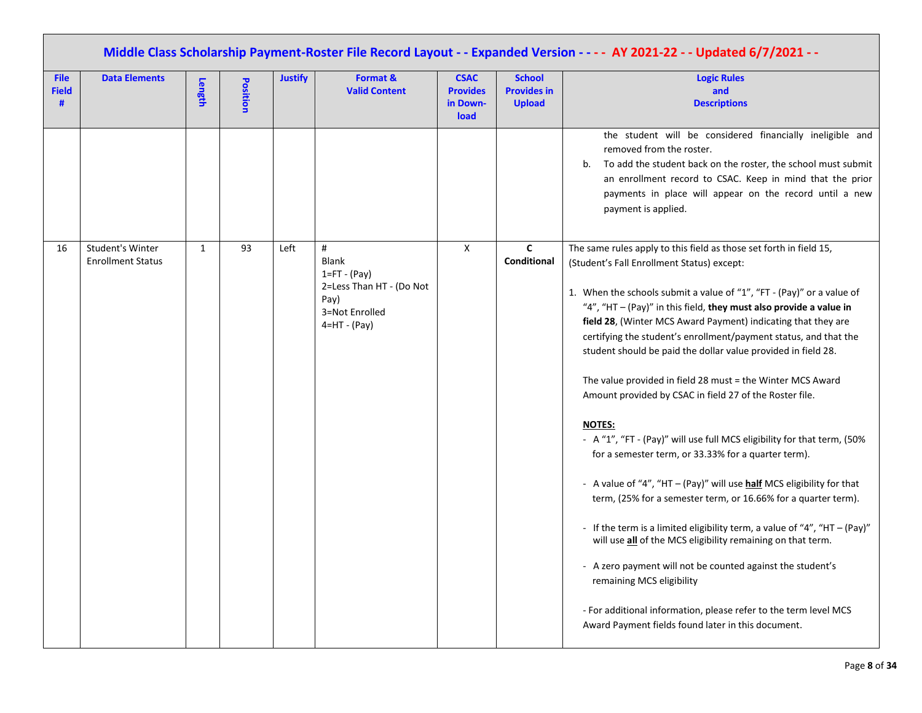| Middle Class Scholarship Payment-Roster File Record Layout - - Expanded Version - - - - AY 2021-22 - - Updated 6/7/2021 - - |                                              |              |          |                |                                                                                                               |                                                    |                                                      |                                                                                                                                                                                                                                                                                                                                                                                                                                                                                                                                                                                                                                                                                                                                                                                                                                                                                                                                                                                                                                                                                                                                                                                                                                                                      |  |  |  |
|-----------------------------------------------------------------------------------------------------------------------------|----------------------------------------------|--------------|----------|----------------|---------------------------------------------------------------------------------------------------------------|----------------------------------------------------|------------------------------------------------------|----------------------------------------------------------------------------------------------------------------------------------------------------------------------------------------------------------------------------------------------------------------------------------------------------------------------------------------------------------------------------------------------------------------------------------------------------------------------------------------------------------------------------------------------------------------------------------------------------------------------------------------------------------------------------------------------------------------------------------------------------------------------------------------------------------------------------------------------------------------------------------------------------------------------------------------------------------------------------------------------------------------------------------------------------------------------------------------------------------------------------------------------------------------------------------------------------------------------------------------------------------------------|--|--|--|
| <b>File</b><br><b>Field</b><br>#                                                                                            | <b>Data Elements</b>                         | Length       | Position | <b>Justify</b> | Format &<br><b>Valid Content</b>                                                                              | <b>CSAC</b><br><b>Provides</b><br>in Down-<br>load | <b>School</b><br><b>Provides in</b><br><b>Upload</b> | <b>Logic Rules</b><br>and<br><b>Descriptions</b>                                                                                                                                                                                                                                                                                                                                                                                                                                                                                                                                                                                                                                                                                                                                                                                                                                                                                                                                                                                                                                                                                                                                                                                                                     |  |  |  |
|                                                                                                                             |                                              |              |          |                |                                                                                                               |                                                    |                                                      | the student will be considered financially ineligible and<br>removed from the roster.<br>To add the student back on the roster, the school must submit<br>b.<br>an enrollment record to CSAC. Keep in mind that the prior<br>payments in place will appear on the record until a new<br>payment is applied.                                                                                                                                                                                                                                                                                                                                                                                                                                                                                                                                                                                                                                                                                                                                                                                                                                                                                                                                                          |  |  |  |
| 16                                                                                                                          | Student's Winter<br><b>Enrollment Status</b> | $\mathbf{1}$ | 93       | Left           | #<br><b>Blank</b><br>$1 = FT - (Pay)$<br>2=Less Than HT - (Do Not<br>Pay)<br>3=Not Enrolled<br>$4=HT - (Pay)$ | X                                                  | $\mathbf c$<br>Conditional                           | The same rules apply to this field as those set forth in field 15,<br>(Student's Fall Enrollment Status) except:<br>1. When the schools submit a value of "1", "FT - (Pay)" or a value of<br>"4", "HT - (Pay)" in this field, they must also provide a value in<br>field 28, (Winter MCS Award Payment) indicating that they are<br>certifying the student's enrollment/payment status, and that the<br>student should be paid the dollar value provided in field 28.<br>The value provided in field 28 must = the Winter MCS Award<br>Amount provided by CSAC in field 27 of the Roster file.<br><b>NOTES:</b><br>- A "1", "FT - (Pay)" will use full MCS eligibility for that term, (50%<br>for a semester term, or 33.33% for a quarter term).<br>- A value of "4", "HT - (Pay)" will use <b>half</b> MCS eligibility for that<br>term, (25% for a semester term, or 16.66% for a quarter term).<br>- If the term is a limited eligibility term, a value of "4", "HT - (Pay)"<br>will use all of the MCS eligibility remaining on that term.<br>- A zero payment will not be counted against the student's<br>remaining MCS eligibility<br>- For additional information, please refer to the term level MCS<br>Award Payment fields found later in this document. |  |  |  |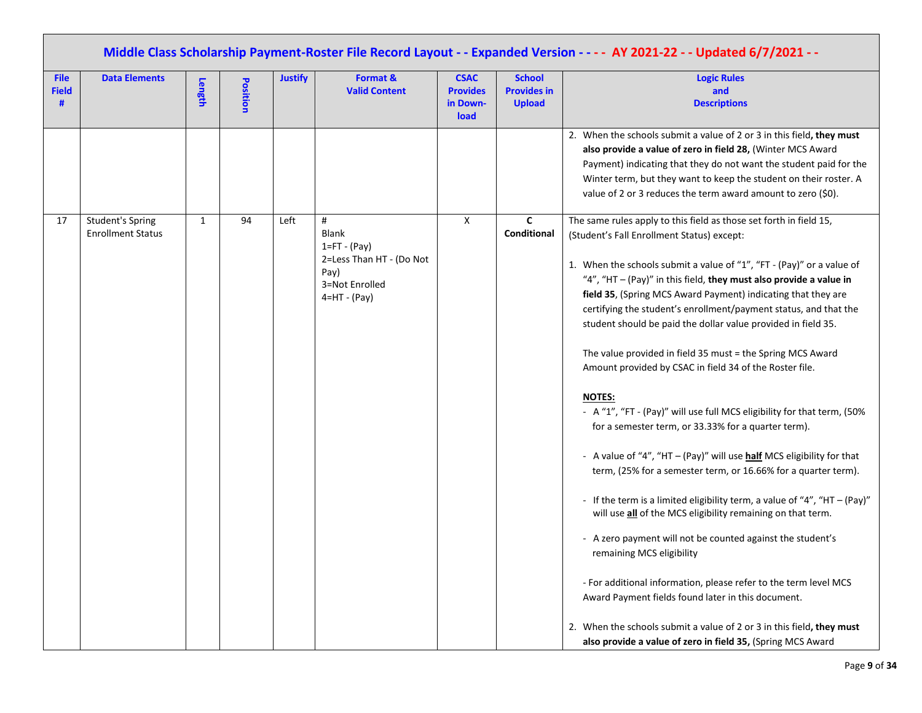|                                  | Middle Class Scholarship Payment-Roster File Record Layout - - Expanded Version - - - - AY 2021-22 - - Updated 6/7/2021 - - |        |          |                |                                                                                                               |                                                    |                                                      |                                                                                                                                                                                                                                                                                                                                                                                                                                                                                                                                                                                                                                                                                                                                                                                                                                                                                                                                                                                                                                                                                                                                                                                                                                                                                                                                                                                                           |  |  |  |  |
|----------------------------------|-----------------------------------------------------------------------------------------------------------------------------|--------|----------|----------------|---------------------------------------------------------------------------------------------------------------|----------------------------------------------------|------------------------------------------------------|-----------------------------------------------------------------------------------------------------------------------------------------------------------------------------------------------------------------------------------------------------------------------------------------------------------------------------------------------------------------------------------------------------------------------------------------------------------------------------------------------------------------------------------------------------------------------------------------------------------------------------------------------------------------------------------------------------------------------------------------------------------------------------------------------------------------------------------------------------------------------------------------------------------------------------------------------------------------------------------------------------------------------------------------------------------------------------------------------------------------------------------------------------------------------------------------------------------------------------------------------------------------------------------------------------------------------------------------------------------------------------------------------------------|--|--|--|--|
| <b>File</b><br><b>Field</b><br># | <b>Data Elements</b>                                                                                                        | Length | Position | <b>Justify</b> | Format &<br><b>Valid Content</b>                                                                              | <b>CSAC</b><br><b>Provides</b><br>in Down-<br>load | <b>School</b><br><b>Provides in</b><br><b>Upload</b> | <b>Logic Rules</b><br>and<br><b>Descriptions</b>                                                                                                                                                                                                                                                                                                                                                                                                                                                                                                                                                                                                                                                                                                                                                                                                                                                                                                                                                                                                                                                                                                                                                                                                                                                                                                                                                          |  |  |  |  |
|                                  |                                                                                                                             |        |          |                |                                                                                                               |                                                    |                                                      | 2. When the schools submit a value of 2 or 3 in this field, they must<br>also provide a value of zero in field 28, (Winter MCS Award<br>Payment) indicating that they do not want the student paid for the<br>Winter term, but they want to keep the student on their roster. A<br>value of 2 or 3 reduces the term award amount to zero (\$0).                                                                                                                                                                                                                                                                                                                                                                                                                                                                                                                                                                                                                                                                                                                                                                                                                                                                                                                                                                                                                                                           |  |  |  |  |
| 17                               | <b>Student's Spring</b><br><b>Enrollment Status</b>                                                                         | 1      | 94       | Left           | #<br><b>Blank</b><br>$1 = FT - (Pay)$<br>2=Less Than HT - (Do Not<br>Pay)<br>3=Not Enrolled<br>$4=HT - (Pay)$ | X                                                  | C<br>Conditional                                     | The same rules apply to this field as those set forth in field 15,<br>(Student's Fall Enrollment Status) except:<br>1. When the schools submit a value of "1", "FT - (Pay)" or a value of<br>"4", "HT $-$ (Pay)" in this field, they must also provide a value in<br>field 35, (Spring MCS Award Payment) indicating that they are<br>certifying the student's enrollment/payment status, and that the<br>student should be paid the dollar value provided in field 35.<br>The value provided in field 35 must = the Spring MCS Award<br>Amount provided by CSAC in field 34 of the Roster file.<br><b>NOTES:</b><br>- A "1", "FT - (Pay)" will use full MCS eligibility for that term, (50%<br>for a semester term, or 33.33% for a quarter term).<br>- A value of "4", "HT - (Pay)" will use half MCS eligibility for that<br>term, (25% for a semester term, or 16.66% for a quarter term).<br>- If the term is a limited eligibility term, a value of "4", "HT $-$ (Pay)"<br>will use all of the MCS eligibility remaining on that term.<br>- A zero payment will not be counted against the student's<br>remaining MCS eligibility<br>- For additional information, please refer to the term level MCS<br>Award Payment fields found later in this document.<br>2. When the schools submit a value of 2 or 3 in this field, they must<br>also provide a value of zero in field 35, (Spring MCS Award |  |  |  |  |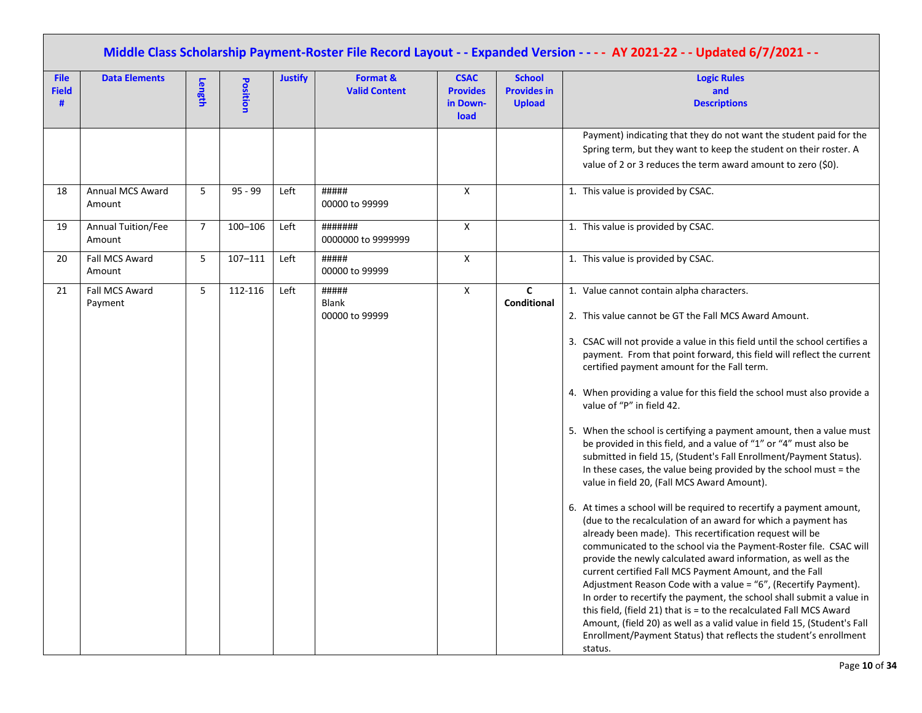|                                  | Middle Class Scholarship Payment-Roster File Record Layout - - Expanded Version - - - - AY 2021-22 - - Updated 6/7/2021 - - |                |                 |                |                                  |                                                    |                                                      |                                                                                                                                                                                                                                                                                                                                                                                                                                                                                                                                                                                                                                                                                                                                                                                                                                                                                                                                                                                                                                                                                                                                                                                                                                                                                                                                                                                                                                                                                                                                                |  |  |  |  |
|----------------------------------|-----------------------------------------------------------------------------------------------------------------------------|----------------|-----------------|----------------|----------------------------------|----------------------------------------------------|------------------------------------------------------|------------------------------------------------------------------------------------------------------------------------------------------------------------------------------------------------------------------------------------------------------------------------------------------------------------------------------------------------------------------------------------------------------------------------------------------------------------------------------------------------------------------------------------------------------------------------------------------------------------------------------------------------------------------------------------------------------------------------------------------------------------------------------------------------------------------------------------------------------------------------------------------------------------------------------------------------------------------------------------------------------------------------------------------------------------------------------------------------------------------------------------------------------------------------------------------------------------------------------------------------------------------------------------------------------------------------------------------------------------------------------------------------------------------------------------------------------------------------------------------------------------------------------------------------|--|--|--|--|
| <b>File</b><br><b>Field</b><br># | <b>Data Elements</b>                                                                                                        | Length         | <b>Position</b> | <b>Justify</b> | Format &<br><b>Valid Content</b> | <b>CSAC</b><br><b>Provides</b><br>in Down-<br>load | <b>School</b><br><b>Provides in</b><br><b>Upload</b> | <b>Logic Rules</b><br>and<br><b>Descriptions</b>                                                                                                                                                                                                                                                                                                                                                                                                                                                                                                                                                                                                                                                                                                                                                                                                                                                                                                                                                                                                                                                                                                                                                                                                                                                                                                                                                                                                                                                                                               |  |  |  |  |
|                                  |                                                                                                                             |                |                 |                |                                  |                                                    |                                                      | Payment) indicating that they do not want the student paid for the<br>Spring term, but they want to keep the student on their roster. A<br>value of 2 or 3 reduces the term award amount to zero (\$0).                                                                                                                                                                                                                                                                                                                                                                                                                                                                                                                                                                                                                                                                                                                                                                                                                                                                                                                                                                                                                                                                                                                                                                                                                                                                                                                                        |  |  |  |  |
| 18                               | Annual MCS Award<br>Amount                                                                                                  | 5              | $95 - 99$       | Left           | #####<br>00000 to 99999          | X                                                  |                                                      | 1. This value is provided by CSAC.                                                                                                                                                                                                                                                                                                                                                                                                                                                                                                                                                                                                                                                                                                                                                                                                                                                                                                                                                                                                                                                                                                                                                                                                                                                                                                                                                                                                                                                                                                             |  |  |  |  |
| 19                               | Annual Tuition/Fee<br>Amount                                                                                                | $\overline{7}$ | $100 - 106$     | Left           | #######<br>0000000 to 9999999    | X                                                  |                                                      | 1. This value is provided by CSAC.                                                                                                                                                                                                                                                                                                                                                                                                                                                                                                                                                                                                                                                                                                                                                                                                                                                                                                                                                                                                                                                                                                                                                                                                                                                                                                                                                                                                                                                                                                             |  |  |  |  |
| 20                               | Fall MCS Award<br>Amount                                                                                                    | 5              | $107 - 111$     | Left           | #####<br>00000 to 99999          | X                                                  |                                                      | 1. This value is provided by CSAC.                                                                                                                                                                                                                                                                                                                                                                                                                                                                                                                                                                                                                                                                                                                                                                                                                                                                                                                                                                                                                                                                                                                                                                                                                                                                                                                                                                                                                                                                                                             |  |  |  |  |
| 21                               | Fall MCS Award<br>Payment                                                                                                   | 5              | 112-116         | Left           | #####<br>Blank<br>00000 to 99999 | X                                                  | $\mathsf{C}$<br>Conditional                          | 1. Value cannot contain alpha characters.<br>2. This value cannot be GT the Fall MCS Award Amount.<br>3. CSAC will not provide a value in this field until the school certifies a<br>payment. From that point forward, this field will reflect the current<br>certified payment amount for the Fall term.<br>4. When providing a value for this field the school must also provide a<br>value of "P" in field 42.<br>5. When the school is certifying a payment amount, then a value must<br>be provided in this field, and a value of "1" or "4" must also be<br>submitted in field 15, (Student's Fall Enrollment/Payment Status).<br>In these cases, the value being provided by the school must = the<br>value in field 20, (Fall MCS Award Amount).<br>6. At times a school will be required to recertify a payment amount,<br>(due to the recalculation of an award for which a payment has<br>already been made). This recertification request will be<br>communicated to the school via the Payment-Roster file. CSAC will<br>provide the newly calculated award information, as well as the<br>current certified Fall MCS Payment Amount, and the Fall<br>Adjustment Reason Code with a value = "6", (Recertify Payment).<br>In order to recertify the payment, the school shall submit a value in<br>this field, (field 21) that is = to the recalculated Fall MCS Award<br>Amount, (field 20) as well as a valid value in field 15, (Student's Fall<br>Enrollment/Payment Status) that reflects the student's enrollment<br>status. |  |  |  |  |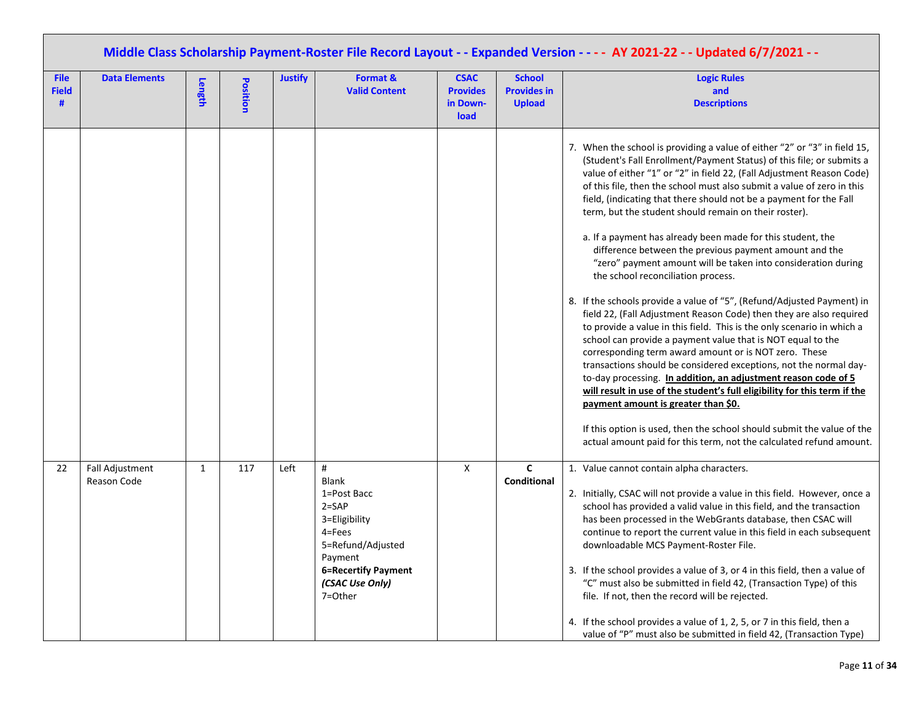|                             | Middle Class Scholarship Payment-Roster File Record Layout - - Expanded Version - - - - AY 2021-22 - - Updated 6/7/2021 - - |              |          |                |                                                                                                                                                                          |                                                    |                                                      |                                                                                                                                                                                                                                                                                                                                                                                                                                                                                                                                                                                                                                                                                                                                                                                                                                                                                                                                                                                                                                                                                                                                                                                                                                                                                                                                                                                                                                     |  |  |  |  |
|-----------------------------|-----------------------------------------------------------------------------------------------------------------------------|--------------|----------|----------------|--------------------------------------------------------------------------------------------------------------------------------------------------------------------------|----------------------------------------------------|------------------------------------------------------|-------------------------------------------------------------------------------------------------------------------------------------------------------------------------------------------------------------------------------------------------------------------------------------------------------------------------------------------------------------------------------------------------------------------------------------------------------------------------------------------------------------------------------------------------------------------------------------------------------------------------------------------------------------------------------------------------------------------------------------------------------------------------------------------------------------------------------------------------------------------------------------------------------------------------------------------------------------------------------------------------------------------------------------------------------------------------------------------------------------------------------------------------------------------------------------------------------------------------------------------------------------------------------------------------------------------------------------------------------------------------------------------------------------------------------------|--|--|--|--|
| <b>File</b><br><b>Field</b> | <b>Data Elements</b>                                                                                                        | Length       | Position | <b>Justify</b> | Format &<br><b>Valid Content</b>                                                                                                                                         | <b>CSAC</b><br><b>Provides</b><br>in Down-<br>load | <b>School</b><br><b>Provides in</b><br><b>Upload</b> | <b>Logic Rules</b><br>and<br><b>Descriptions</b>                                                                                                                                                                                                                                                                                                                                                                                                                                                                                                                                                                                                                                                                                                                                                                                                                                                                                                                                                                                                                                                                                                                                                                                                                                                                                                                                                                                    |  |  |  |  |
|                             |                                                                                                                             |              |          |                |                                                                                                                                                                          |                                                    |                                                      | 7. When the school is providing a value of either "2" or "3" in field 15,<br>(Student's Fall Enrollment/Payment Status) of this file; or submits a<br>value of either "1" or "2" in field 22, (Fall Adjustment Reason Code)<br>of this file, then the school must also submit a value of zero in this<br>field, (indicating that there should not be a payment for the Fall<br>term, but the student should remain on their roster).<br>a. If a payment has already been made for this student, the<br>difference between the previous payment amount and the<br>"zero" payment amount will be taken into consideration during<br>the school reconciliation process.<br>8. If the schools provide a value of "5", (Refund/Adjusted Payment) in<br>field 22, (Fall Adjustment Reason Code) then they are also required<br>to provide a value in this field. This is the only scenario in which a<br>school can provide a payment value that is NOT equal to the<br>corresponding term award amount or is NOT zero. These<br>transactions should be considered exceptions, not the normal day-<br>to-day processing. In addition, an adjustment reason code of 5<br>will result in use of the student's full eligibility for this term if the<br>payment amount is greater than \$0.<br>If this option is used, then the school should submit the value of the<br>actual amount paid for this term, not the calculated refund amount. |  |  |  |  |
| 22                          | <b>Fall Adjustment</b><br>Reason Code                                                                                       | $\mathbf{1}$ | 117      | Left           | #<br><b>Blank</b><br>1=Post Bacc<br>$2 = SAP$<br>3=Eligibility<br>$4 = Fees$<br>5=Refund/Adjusted<br>Payment<br><b>6=Recertify Payment</b><br>(CSAC Use Only)<br>7=Other | $\mathsf{X}$                                       | $\mathsf{C}$<br><b>Conditional</b>                   | 1. Value cannot contain alpha characters.<br>2. Initially, CSAC will not provide a value in this field. However, once a<br>school has provided a valid value in this field, and the transaction<br>has been processed in the WebGrants database, then CSAC will<br>continue to report the current value in this field in each subsequent<br>downloadable MCS Payment-Roster File.<br>3. If the school provides a value of 3, or 4 in this field, then a value of<br>"C" must also be submitted in field 42, (Transaction Type) of this<br>file. If not, then the record will be rejected.<br>4. If the school provides a value of 1, 2, 5, or 7 in this field, then a<br>value of "P" must also be submitted in field 42, (Transaction Type)                                                                                                                                                                                                                                                                                                                                                                                                                                                                                                                                                                                                                                                                                        |  |  |  |  |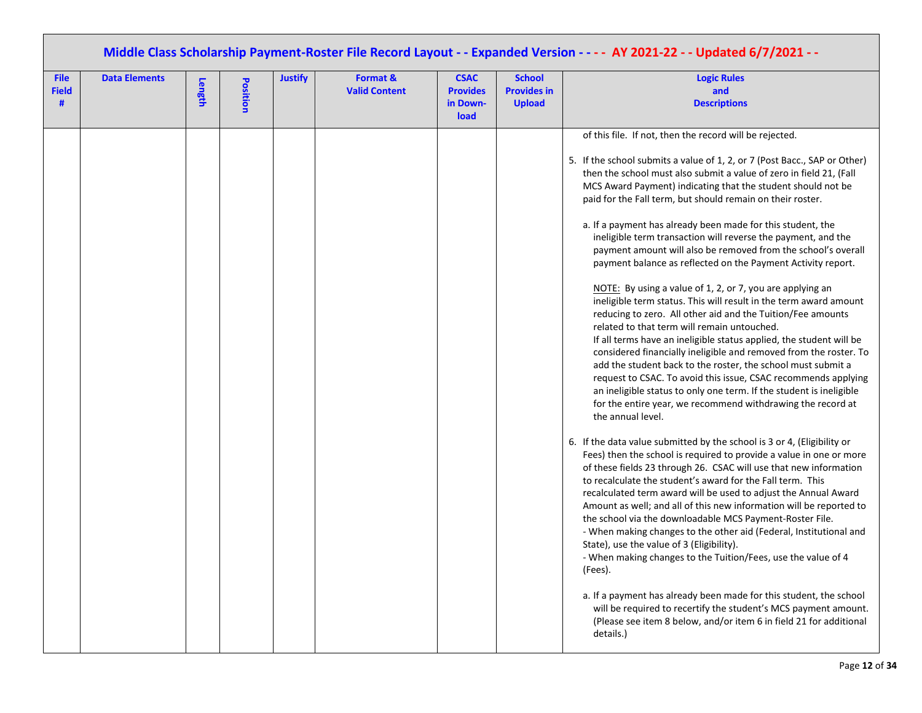| Middle Class Scholarship Payment-Roster File Record Layout - - Expanded Version - - - - AY 2021-22 - - Updated 6/7/2021 - - |                      |        |          |                |                                  |                                                    |                                                      |                                                                                                                                                                                                                                                                                                                                                                                                                                                                                                                                                                                                                                                                                                                                                                                                                                                                                                                                                                                                                                                                                                                                                                                                                                                                                                                                                                                                                                                                                                                                                                                                                                                                                                                                                                                                                                                                                                                                                                                                                                                                                                                                                                                                                           |  |  |  |
|-----------------------------------------------------------------------------------------------------------------------------|----------------------|--------|----------|----------------|----------------------------------|----------------------------------------------------|------------------------------------------------------|---------------------------------------------------------------------------------------------------------------------------------------------------------------------------------------------------------------------------------------------------------------------------------------------------------------------------------------------------------------------------------------------------------------------------------------------------------------------------------------------------------------------------------------------------------------------------------------------------------------------------------------------------------------------------------------------------------------------------------------------------------------------------------------------------------------------------------------------------------------------------------------------------------------------------------------------------------------------------------------------------------------------------------------------------------------------------------------------------------------------------------------------------------------------------------------------------------------------------------------------------------------------------------------------------------------------------------------------------------------------------------------------------------------------------------------------------------------------------------------------------------------------------------------------------------------------------------------------------------------------------------------------------------------------------------------------------------------------------------------------------------------------------------------------------------------------------------------------------------------------------------------------------------------------------------------------------------------------------------------------------------------------------------------------------------------------------------------------------------------------------------------------------------------------------------------------------------------------------|--|--|--|
| <b>File</b><br><b>Field</b><br>#                                                                                            | <b>Data Elements</b> | Length | Position | <b>Justify</b> | Format &<br><b>Valid Content</b> | <b>CSAC</b><br><b>Provides</b><br>in Down-<br>load | <b>School</b><br><b>Provides in</b><br><b>Upload</b> | <b>Logic Rules</b><br>and<br><b>Descriptions</b>                                                                                                                                                                                                                                                                                                                                                                                                                                                                                                                                                                                                                                                                                                                                                                                                                                                                                                                                                                                                                                                                                                                                                                                                                                                                                                                                                                                                                                                                                                                                                                                                                                                                                                                                                                                                                                                                                                                                                                                                                                                                                                                                                                          |  |  |  |
|                                                                                                                             |                      |        |          |                |                                  |                                                    |                                                      | of this file. If not, then the record will be rejected.<br>5. If the school submits a value of 1, 2, or 7 (Post Bacc., SAP or Other)<br>then the school must also submit a value of zero in field 21, (Fall<br>MCS Award Payment) indicating that the student should not be<br>paid for the Fall term, but should remain on their roster.<br>a. If a payment has already been made for this student, the<br>ineligible term transaction will reverse the payment, and the<br>payment amount will also be removed from the school's overall<br>payment balance as reflected on the Payment Activity report.<br>NOTE: By using a value of 1, 2, or 7, you are applying an<br>ineligible term status. This will result in the term award amount<br>reducing to zero. All other aid and the Tuition/Fee amounts<br>related to that term will remain untouched.<br>If all terms have an ineligible status applied, the student will be<br>considered financially ineligible and removed from the roster. To<br>add the student back to the roster, the school must submit a<br>request to CSAC. To avoid this issue, CSAC recommends applying<br>an ineligible status to only one term. If the student is ineligible<br>for the entire year, we recommend withdrawing the record at<br>the annual level.<br>6. If the data value submitted by the school is 3 or 4, (Eligibility or<br>Fees) then the school is required to provide a value in one or more<br>of these fields 23 through 26. CSAC will use that new information<br>to recalculate the student's award for the Fall term. This<br>recalculated term award will be used to adjust the Annual Award<br>Amount as well; and all of this new information will be reported to<br>the school via the downloadable MCS Payment-Roster File.<br>- When making changes to the other aid (Federal, Institutional and<br>State), use the value of 3 (Eligibility).<br>- When making changes to the Tuition/Fees, use the value of 4<br>(Fees).<br>a. If a payment has already been made for this student, the school<br>will be required to recertify the student's MCS payment amount.<br>(Please see item 8 below, and/or item 6 in field 21 for additional<br>details.) |  |  |  |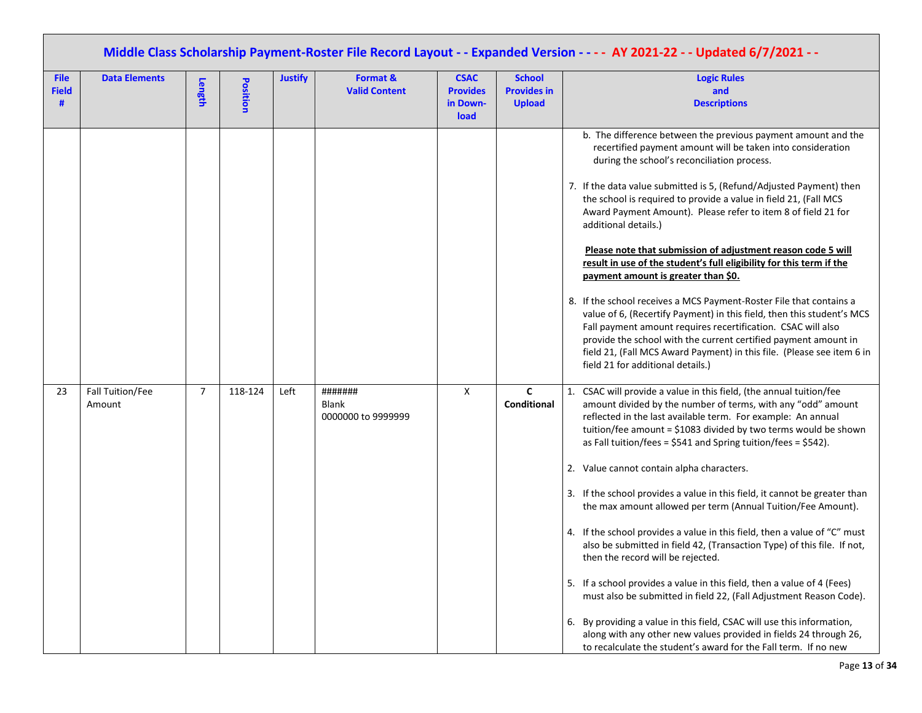|                                  | Middle Class Scholarship Payment-Roster File Record Layout - - Expanded Version - - - - AY 2021-22 - - Updated 6/7/2021 - - |                |          |                |                                               |                                                    |                                                      |                                                                                                                                                                                                                                                                                                                                                                                                                                                                                                                                                                                                                                                                                                                                                                                                                                                                                                                                                                                                                                                                                                           |  |  |  |  |
|----------------------------------|-----------------------------------------------------------------------------------------------------------------------------|----------------|----------|----------------|-----------------------------------------------|----------------------------------------------------|------------------------------------------------------|-----------------------------------------------------------------------------------------------------------------------------------------------------------------------------------------------------------------------------------------------------------------------------------------------------------------------------------------------------------------------------------------------------------------------------------------------------------------------------------------------------------------------------------------------------------------------------------------------------------------------------------------------------------------------------------------------------------------------------------------------------------------------------------------------------------------------------------------------------------------------------------------------------------------------------------------------------------------------------------------------------------------------------------------------------------------------------------------------------------|--|--|--|--|
| <b>File</b><br><b>Field</b><br># | <b>Data Elements</b>                                                                                                        | Length         | Position | <b>Justify</b> | Format &<br><b>Valid Content</b>              | <b>CSAC</b><br><b>Provides</b><br>in Down-<br>load | <b>School</b><br><b>Provides in</b><br><b>Upload</b> | <b>Logic Rules</b><br>and<br><b>Descriptions</b>                                                                                                                                                                                                                                                                                                                                                                                                                                                                                                                                                                                                                                                                                                                                                                                                                                                                                                                                                                                                                                                          |  |  |  |  |
|                                  |                                                                                                                             |                |          |                |                                               |                                                    |                                                      | b. The difference between the previous payment amount and the<br>recertified payment amount will be taken into consideration<br>during the school's reconciliation process.<br>7. If the data value submitted is 5, (Refund/Adjusted Payment) then<br>the school is required to provide a value in field 21, (Fall MCS<br>Award Payment Amount). Please refer to item 8 of field 21 for<br>additional details.)<br>Please note that submission of adjustment reason code 5 will<br>result in use of the student's full eligibility for this term if the<br>payment amount is greater than \$0.<br>8. If the school receives a MCS Payment-Roster File that contains a<br>value of 6, (Recertify Payment) in this field, then this student's MCS<br>Fall payment amount requires recertification. CSAC will also<br>provide the school with the current certified payment amount in<br>field 21, (Fall MCS Award Payment) in this file. (Please see item 6 in<br>field 21 for additional details.)                                                                                                         |  |  |  |  |
| 23                               | Fall Tuition/Fee<br>Amount                                                                                                  | $\overline{7}$ | 118-124  | Left           | #######<br><b>Blank</b><br>0000000 to 9999999 | X                                                  | $\mathbf{C}$<br>Conditional                          | CSAC will provide a value in this field, (the annual tuition/fee<br>1.<br>amount divided by the number of terms, with any "odd" amount<br>reflected in the last available term. For example: An annual<br>tuition/fee amount = \$1083 divided by two terms would be shown<br>as Fall tuition/fees = $$541$ and Spring tuition/fees = $$542$ ).<br>2. Value cannot contain alpha characters.<br>3. If the school provides a value in this field, it cannot be greater than<br>the max amount allowed per term (Annual Tuition/Fee Amount).<br>4. If the school provides a value in this field, then a value of "C" must<br>also be submitted in field 42, (Transaction Type) of this file. If not,<br>then the record will be rejected.<br>5. If a school provides a value in this field, then a value of 4 (Fees)<br>must also be submitted in field 22, (Fall Adjustment Reason Code).<br>6. By providing a value in this field, CSAC will use this information,<br>along with any other new values provided in fields 24 through 26,<br>to recalculate the student's award for the Fall term. If no new |  |  |  |  |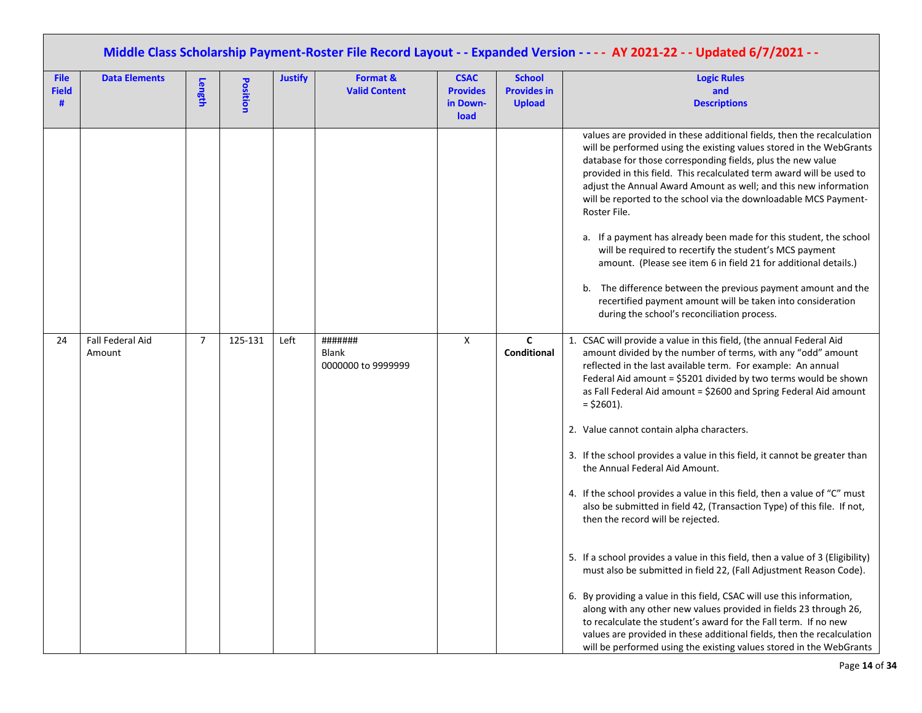|                                  | Middle Class Scholarship Payment-Roster File Record Layout - - Expanded Version - - - - AY 2021-22 - - Updated 6/7/2021 - - |                |          |                |                                        |                                                    |                                                      |                                                                                                                                                                                                                                                                                                                                                                                                                                                                                                                                                                                                                                                                                                                                                                                                                                                                                                                                                                                                                                                                                                                                                                                                                                                  |  |  |  |  |
|----------------------------------|-----------------------------------------------------------------------------------------------------------------------------|----------------|----------|----------------|----------------------------------------|----------------------------------------------------|------------------------------------------------------|--------------------------------------------------------------------------------------------------------------------------------------------------------------------------------------------------------------------------------------------------------------------------------------------------------------------------------------------------------------------------------------------------------------------------------------------------------------------------------------------------------------------------------------------------------------------------------------------------------------------------------------------------------------------------------------------------------------------------------------------------------------------------------------------------------------------------------------------------------------------------------------------------------------------------------------------------------------------------------------------------------------------------------------------------------------------------------------------------------------------------------------------------------------------------------------------------------------------------------------------------|--|--|--|--|
| <b>File</b><br><b>Field</b><br># | <b>Data Elements</b>                                                                                                        | Length         | Position | <b>Justify</b> | Format &<br><b>Valid Content</b>       | <b>CSAC</b><br><b>Provides</b><br>in Down-<br>load | <b>School</b><br><b>Provides in</b><br><b>Upload</b> | <b>Logic Rules</b><br>and<br><b>Descriptions</b>                                                                                                                                                                                                                                                                                                                                                                                                                                                                                                                                                                                                                                                                                                                                                                                                                                                                                                                                                                                                                                                                                                                                                                                                 |  |  |  |  |
|                                  |                                                                                                                             |                |          |                |                                        |                                                    |                                                      | values are provided in these additional fields, then the recalculation<br>will be performed using the existing values stored in the WebGrants<br>database for those corresponding fields, plus the new value<br>provided in this field. This recalculated term award will be used to<br>adjust the Annual Award Amount as well; and this new information<br>will be reported to the school via the downloadable MCS Payment-<br>Roster File.<br>a. If a payment has already been made for this student, the school<br>will be required to recertify the student's MCS payment<br>amount. (Please see item 6 in field 21 for additional details.)<br>b. The difference between the previous payment amount and the<br>recertified payment amount will be taken into consideration<br>during the school's reconciliation process.                                                                                                                                                                                                                                                                                                                                                                                                                  |  |  |  |  |
| 24                               | Fall Federal Aid<br>Amount                                                                                                  | $\overline{7}$ | 125-131  | Left           | #######<br>Blank<br>0000000 to 9999999 | X                                                  | $\mathbf{C}$<br>Conditional                          | 1. CSAC will provide a value in this field, (the annual Federal Aid<br>amount divided by the number of terms, with any "odd" amount<br>reflected in the last available term. For example: An annual<br>Federal Aid amount = \$5201 divided by two terms would be shown<br>as Fall Federal Aid amount = \$2600 and Spring Federal Aid amount<br>$=$ \$2601).<br>2. Value cannot contain alpha characters.<br>3. If the school provides a value in this field, it cannot be greater than<br>the Annual Federal Aid Amount.<br>4. If the school provides a value in this field, then a value of "C" must<br>also be submitted in field 42, (Transaction Type) of this file. If not,<br>then the record will be rejected.<br>5. If a school provides a value in this field, then a value of 3 (Eligibility)<br>must also be submitted in field 22, (Fall Adjustment Reason Code).<br>6. By providing a value in this field, CSAC will use this information,<br>along with any other new values provided in fields 23 through 26,<br>to recalculate the student's award for the Fall term. If no new<br>values are provided in these additional fields, then the recalculation<br>will be performed using the existing values stored in the WebGrants |  |  |  |  |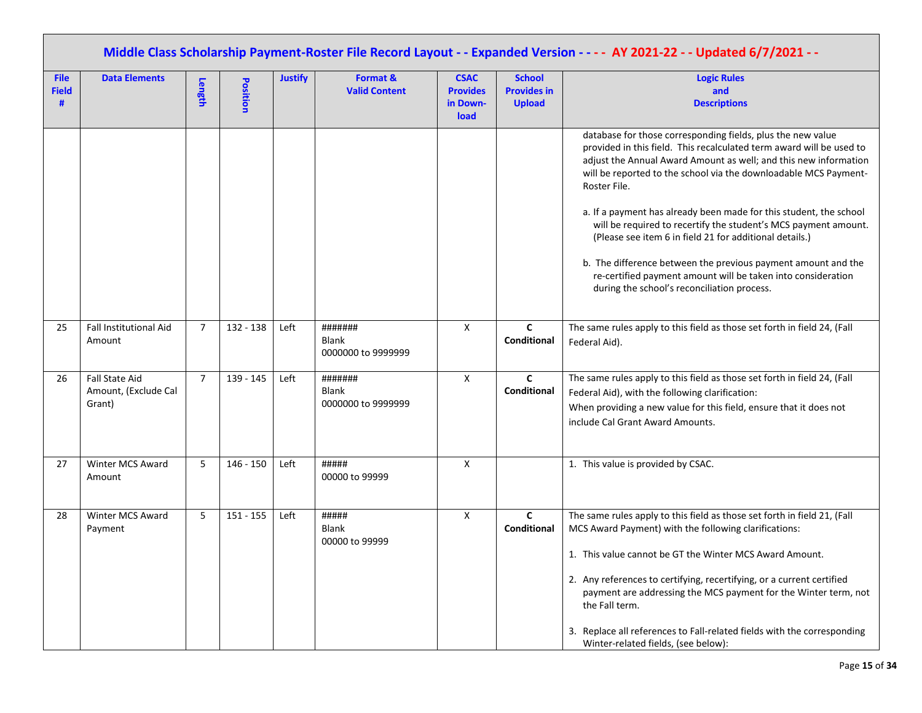|                             | Middle Class Scholarship Payment-Roster File Record Layout - - Expanded Version - - - - AY 2021-22 - - Updated 6/7/2021 - - |                |             |                |                                               |                                                    |                                                      |                                                                                                                                                                                                                                                                                                                                                                                                                                                                              |  |  |  |  |
|-----------------------------|-----------------------------------------------------------------------------------------------------------------------------|----------------|-------------|----------------|-----------------------------------------------|----------------------------------------------------|------------------------------------------------------|------------------------------------------------------------------------------------------------------------------------------------------------------------------------------------------------------------------------------------------------------------------------------------------------------------------------------------------------------------------------------------------------------------------------------------------------------------------------------|--|--|--|--|
| <b>File</b><br><b>Field</b> | <b>Data Elements</b>                                                                                                        | Length         | Position    | <b>Justify</b> | Format &<br><b>Valid Content</b>              | <b>CSAC</b><br><b>Provides</b><br>in Down-<br>load | <b>School</b><br><b>Provides in</b><br><b>Upload</b> | <b>Logic Rules</b><br>and<br><b>Descriptions</b>                                                                                                                                                                                                                                                                                                                                                                                                                             |  |  |  |  |
|                             |                                                                                                                             |                |             |                |                                               |                                                    |                                                      | database for those corresponding fields, plus the new value<br>provided in this field. This recalculated term award will be used to<br>adjust the Annual Award Amount as well; and this new information<br>will be reported to the school via the downloadable MCS Payment-<br>Roster File.                                                                                                                                                                                  |  |  |  |  |
|                             |                                                                                                                             |                |             |                |                                               |                                                    |                                                      | a. If a payment has already been made for this student, the school<br>will be required to recertify the student's MCS payment amount.<br>(Please see item 6 in field 21 for additional details.)                                                                                                                                                                                                                                                                             |  |  |  |  |
|                             |                                                                                                                             |                |             |                |                                               |                                                    |                                                      | b. The difference between the previous payment amount and the<br>re-certified payment amount will be taken into consideration<br>during the school's reconciliation process.                                                                                                                                                                                                                                                                                                 |  |  |  |  |
| 25                          | Fall Institutional Aid<br>Amount                                                                                            | $\overline{7}$ | $132 - 138$ | Left           | #######<br><b>Blank</b><br>0000000 to 9999999 | X                                                  | C<br>Conditional                                     | The same rules apply to this field as those set forth in field 24, (Fall<br>Federal Aid).                                                                                                                                                                                                                                                                                                                                                                                    |  |  |  |  |
| 26                          | Fall State Aid<br>Amount, (Exclude Cal<br>Grant)                                                                            | $\overline{7}$ | 139 - 145   | Left           | #######<br><b>Blank</b><br>0000000 to 9999999 | X                                                  | $\mathbf{C}$<br>Conditional                          | The same rules apply to this field as those set forth in field 24, (Fall<br>Federal Aid), with the following clarification:<br>When providing a new value for this field, ensure that it does not<br>include Cal Grant Award Amounts.                                                                                                                                                                                                                                        |  |  |  |  |
| 27                          | Winter MCS Award<br>Amount                                                                                                  | 5              | $146 - 150$ | Left           | #####<br>00000 to 99999                       | X                                                  |                                                      | 1. This value is provided by CSAC.                                                                                                                                                                                                                                                                                                                                                                                                                                           |  |  |  |  |
| 28                          | Winter MCS Award<br>Payment                                                                                                 | 5              | $151 - 155$ | Left           | #####<br><b>Blank</b><br>00000 to 99999       | X                                                  | $\mathbf{C}$<br>Conditional                          | The same rules apply to this field as those set forth in field 21, (Fall<br>MCS Award Payment) with the following clarifications:<br>1. This value cannot be GT the Winter MCS Award Amount.<br>2. Any references to certifying, recertifying, or a current certified<br>payment are addressing the MCS payment for the Winter term, not<br>the Fall term.<br>3. Replace all references to Fall-related fields with the corresponding<br>Winter-related fields, (see below): |  |  |  |  |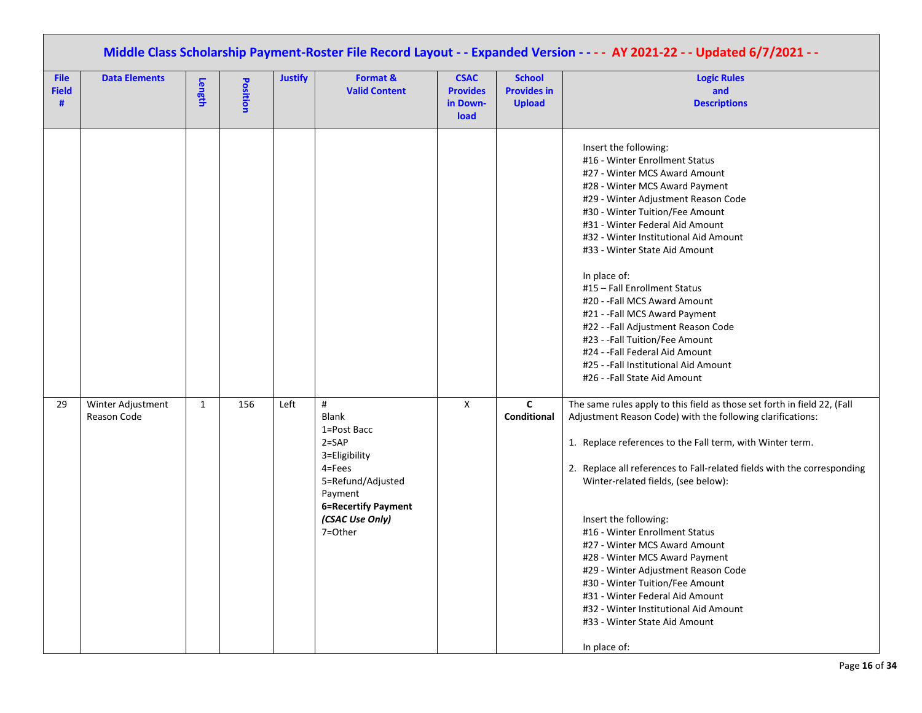| Middle Class Scholarship Payment-Roster File Record Layout - - Expanded Version - - - - AY 2021-22 - - Updated 6/7/2021 - - |                                  |              |                 |                |                                                                                                                                                           |                                                    |                                                      |                                                                                                                                                                                                                                                                                                                                                                                                                                                                                                                                                                                                                                                            |  |  |  |
|-----------------------------------------------------------------------------------------------------------------------------|----------------------------------|--------------|-----------------|----------------|-----------------------------------------------------------------------------------------------------------------------------------------------------------|----------------------------------------------------|------------------------------------------------------|------------------------------------------------------------------------------------------------------------------------------------------------------------------------------------------------------------------------------------------------------------------------------------------------------------------------------------------------------------------------------------------------------------------------------------------------------------------------------------------------------------------------------------------------------------------------------------------------------------------------------------------------------------|--|--|--|
| <b>File</b><br><b>Field</b><br>#                                                                                            | <b>Data Elements</b>             | Length       | <b>Position</b> | <b>Justify</b> | Format &<br><b>Valid Content</b>                                                                                                                          | <b>CSAC</b><br><b>Provides</b><br>in Down-<br>load | <b>School</b><br><b>Provides in</b><br><b>Upload</b> | <b>Logic Rules</b><br>and<br><b>Descriptions</b>                                                                                                                                                                                                                                                                                                                                                                                                                                                                                                                                                                                                           |  |  |  |
|                                                                                                                             |                                  |              |                 |                |                                                                                                                                                           |                                                    |                                                      | Insert the following:<br>#16 - Winter Enrollment Status<br>#27 - Winter MCS Award Amount<br>#28 - Winter MCS Award Payment<br>#29 - Winter Adjustment Reason Code<br>#30 - Winter Tuition/Fee Amount<br>#31 - Winter Federal Aid Amount<br>#32 - Winter Institutional Aid Amount<br>#33 - Winter State Aid Amount<br>In place of:<br>#15 - Fall Enrollment Status<br>#20 - - Fall MCS Award Amount<br>#21 - -Fall MCS Award Payment<br>#22 - - Fall Adjustment Reason Code<br>#23 - -Fall Tuition/Fee Amount<br>#24 - -Fall Federal Aid Amount<br>#25 - -Fall Institutional Aid Amount<br>#26 - -Fall State Aid Amount                                     |  |  |  |
| 29                                                                                                                          | Winter Adjustment<br>Reason Code | $\mathbf{1}$ | 156             | Left           | $\#$<br>Blank<br>1=Post Bacc<br>$2 = SAP$<br>3=Eligibility<br>4=Fees<br>5=Refund/Adjusted<br>Payment<br>6=Recertify Payment<br>(CSAC Use Only)<br>7=Other | $\mathsf{X}$                                       | $\mathbf{C}$<br>Conditional                          | The same rules apply to this field as those set forth in field 22, (Fall<br>Adjustment Reason Code) with the following clarifications:<br>1. Replace references to the Fall term, with Winter term.<br>2. Replace all references to Fall-related fields with the corresponding<br>Winter-related fields, (see below):<br>Insert the following:<br>#16 - Winter Enrollment Status<br>#27 - Winter MCS Award Amount<br>#28 - Winter MCS Award Payment<br>#29 - Winter Adjustment Reason Code<br>#30 - Winter Tuition/Fee Amount<br>#31 - Winter Federal Aid Amount<br>#32 - Winter Institutional Aid Amount<br>#33 - Winter State Aid Amount<br>In place of: |  |  |  |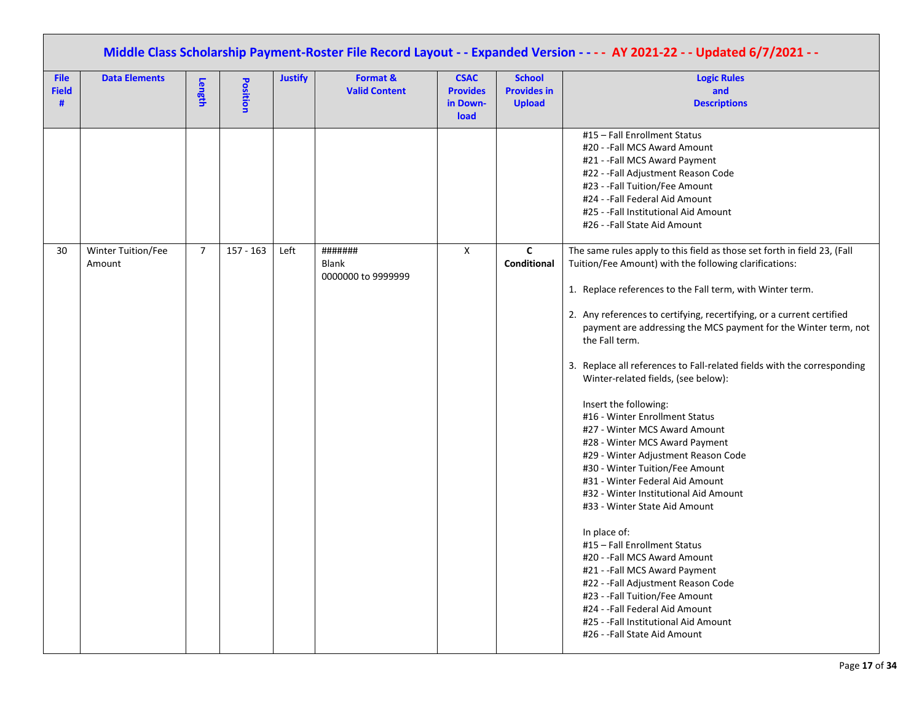|                                  | Middle Class Scholarship Payment-Roster File Record Layout - - Expanded Version - - - - AY 2021-22 - - Updated 6/7/2021 - - |                |                 |                |                                               |                                                    |                                                      |                                                                                                                                                                                                                                                                                                                                                                                                                                                                                                                                                                                                                                                                                                                                                                                                                                                                                                                                                                                                                                                                                                            |  |  |  |  |
|----------------------------------|-----------------------------------------------------------------------------------------------------------------------------|----------------|-----------------|----------------|-----------------------------------------------|----------------------------------------------------|------------------------------------------------------|------------------------------------------------------------------------------------------------------------------------------------------------------------------------------------------------------------------------------------------------------------------------------------------------------------------------------------------------------------------------------------------------------------------------------------------------------------------------------------------------------------------------------------------------------------------------------------------------------------------------------------------------------------------------------------------------------------------------------------------------------------------------------------------------------------------------------------------------------------------------------------------------------------------------------------------------------------------------------------------------------------------------------------------------------------------------------------------------------------|--|--|--|--|
| <b>File</b><br><b>Field</b><br># | <b>Data Elements</b>                                                                                                        | Length         | <b>Position</b> | <b>Justify</b> | Format &<br><b>Valid Content</b>              | <b>CSAC</b><br><b>Provides</b><br>in Down-<br>load | <b>School</b><br><b>Provides in</b><br><b>Upload</b> | <b>Logic Rules</b><br>and<br><b>Descriptions</b>                                                                                                                                                                                                                                                                                                                                                                                                                                                                                                                                                                                                                                                                                                                                                                                                                                                                                                                                                                                                                                                           |  |  |  |  |
|                                  |                                                                                                                             |                |                 |                |                                               |                                                    | $\mathbf{C}$                                         | #15 - Fall Enrollment Status<br>#20 - -Fall MCS Award Amount<br>#21 - -Fall MCS Award Payment<br>#22 - - Fall Adjustment Reason Code<br>#23 - -Fall Tuition/Fee Amount<br>#24 - -Fall Federal Aid Amount<br>#25 - -Fall Institutional Aid Amount<br>#26 - -Fall State Aid Amount                                                                                                                                                                                                                                                                                                                                                                                                                                                                                                                                                                                                                                                                                                                                                                                                                           |  |  |  |  |
| 30                               | Winter Tuition/Fee<br>Amount                                                                                                | $\overline{7}$ | $157 - 163$     | Left           | #######<br><b>Blank</b><br>0000000 to 9999999 | X                                                  | Conditional                                          | The same rules apply to this field as those set forth in field 23, (Fall<br>Tuition/Fee Amount) with the following clarifications:<br>1. Replace references to the Fall term, with Winter term.<br>2. Any references to certifying, recertifying, or a current certified<br>payment are addressing the MCS payment for the Winter term, not<br>the Fall term.<br>3. Replace all references to Fall-related fields with the corresponding<br>Winter-related fields, (see below):<br>Insert the following:<br>#16 - Winter Enrollment Status<br>#27 - Winter MCS Award Amount<br>#28 - Winter MCS Award Payment<br>#29 - Winter Adjustment Reason Code<br>#30 - Winter Tuition/Fee Amount<br>#31 - Winter Federal Aid Amount<br>#32 - Winter Institutional Aid Amount<br>#33 - Winter State Aid Amount<br>In place of:<br>#15 - Fall Enrollment Status<br>#20 - - Fall MCS Award Amount<br>#21 - -Fall MCS Award Payment<br>#22 - - Fall Adjustment Reason Code<br>#23 - -Fall Tuition/Fee Amount<br>#24 - - Fall Federal Aid Amount<br>#25 - -Fall Institutional Aid Amount<br>#26 - -Fall State Aid Amount |  |  |  |  |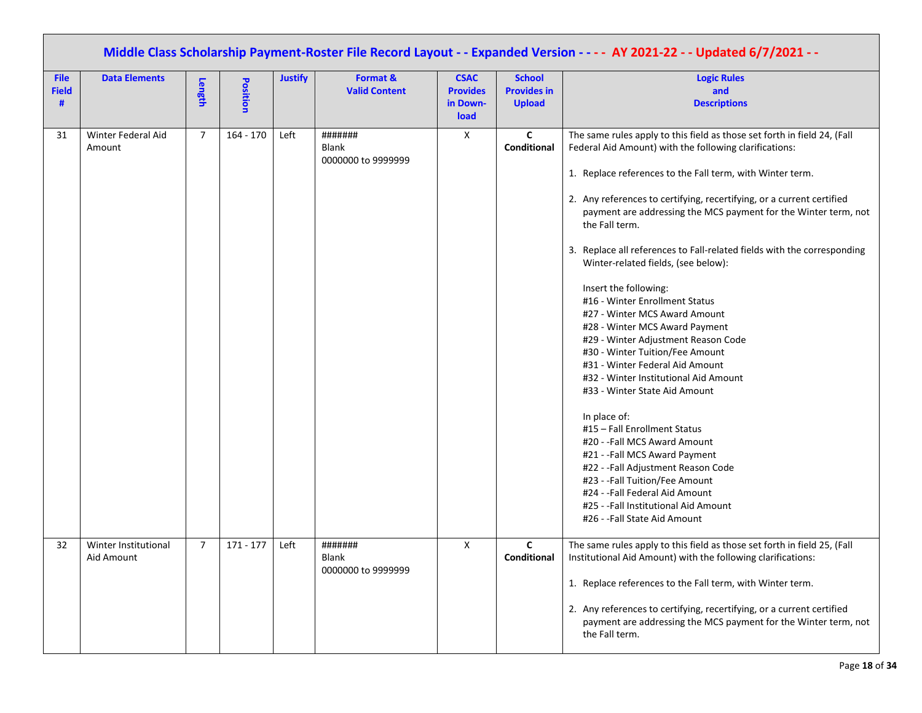|                                  | Middle Class Scholarship Payment-Roster File Record Layout - - Expanded Version - - - - AY 2021-22 - - Updated 6/7/2021 - - |                |                 |                |                                        |                                                    |                                                      |                                                                                                                                                                                                                                                                                                                                                                                                                                                                                                                                                                                                                                                                                                                                                                                                                                                                                                                                                                                                                                                                                                           |  |  |  |  |
|----------------------------------|-----------------------------------------------------------------------------------------------------------------------------|----------------|-----------------|----------------|----------------------------------------|----------------------------------------------------|------------------------------------------------------|-----------------------------------------------------------------------------------------------------------------------------------------------------------------------------------------------------------------------------------------------------------------------------------------------------------------------------------------------------------------------------------------------------------------------------------------------------------------------------------------------------------------------------------------------------------------------------------------------------------------------------------------------------------------------------------------------------------------------------------------------------------------------------------------------------------------------------------------------------------------------------------------------------------------------------------------------------------------------------------------------------------------------------------------------------------------------------------------------------------|--|--|--|--|
| <b>File</b><br><b>Field</b><br># | <b>Data Elements</b>                                                                                                        | Length         | <b>Position</b> | <b>Justify</b> | Format &<br><b>Valid Content</b>       | <b>CSAC</b><br><b>Provides</b><br>in Down-<br>load | <b>School</b><br><b>Provides in</b><br><b>Upload</b> | <b>Logic Rules</b><br>and<br><b>Descriptions</b>                                                                                                                                                                                                                                                                                                                                                                                                                                                                                                                                                                                                                                                                                                                                                                                                                                                                                                                                                                                                                                                          |  |  |  |  |
| 31                               | Winter Federal Aid<br>Amount                                                                                                | $\overline{7}$ | $164 - 170$     | Left           | #######<br>Blank<br>0000000 to 9999999 | X                                                  | $\mathbf c$<br>Conditional                           | The same rules apply to this field as those set forth in field 24, (Fall<br>Federal Aid Amount) with the following clarifications:<br>1. Replace references to the Fall term, with Winter term.<br>2. Any references to certifying, recertifying, or a current certified<br>payment are addressing the MCS payment for the Winter term, not<br>the Fall term.<br>3. Replace all references to Fall-related fields with the corresponding<br>Winter-related fields, (see below):<br>Insert the following:<br>#16 - Winter Enrollment Status<br>#27 - Winter MCS Award Amount<br>#28 - Winter MCS Award Payment<br>#29 - Winter Adjustment Reason Code<br>#30 - Winter Tuition/Fee Amount<br>#31 - Winter Federal Aid Amount<br>#32 - Winter Institutional Aid Amount<br>#33 - Winter State Aid Amount<br>In place of:<br>#15 - Fall Enrollment Status<br>#20 - -Fall MCS Award Amount<br>#21 - - Fall MCS Award Payment<br>#22 - -Fall Adjustment Reason Code<br>#23 - -Fall Tuition/Fee Amount<br>#24 - -Fall Federal Aid Amount<br>#25 - - Fall Institutional Aid Amount<br>#26 - -Fall State Aid Amount |  |  |  |  |
| 32                               | Winter Institutional<br>Aid Amount                                                                                          | $\overline{7}$ | $171 - 177$     | Left           | #######<br>Blank<br>0000000 to 9999999 | X                                                  | C<br><b>Conditional</b>                              | The same rules apply to this field as those set forth in field 25, (Fall<br>Institutional Aid Amount) with the following clarifications:<br>1. Replace references to the Fall term, with Winter term.<br>2. Any references to certifying, recertifying, or a current certified<br>payment are addressing the MCS payment for the Winter term, not<br>the Fall term.                                                                                                                                                                                                                                                                                                                                                                                                                                                                                                                                                                                                                                                                                                                                       |  |  |  |  |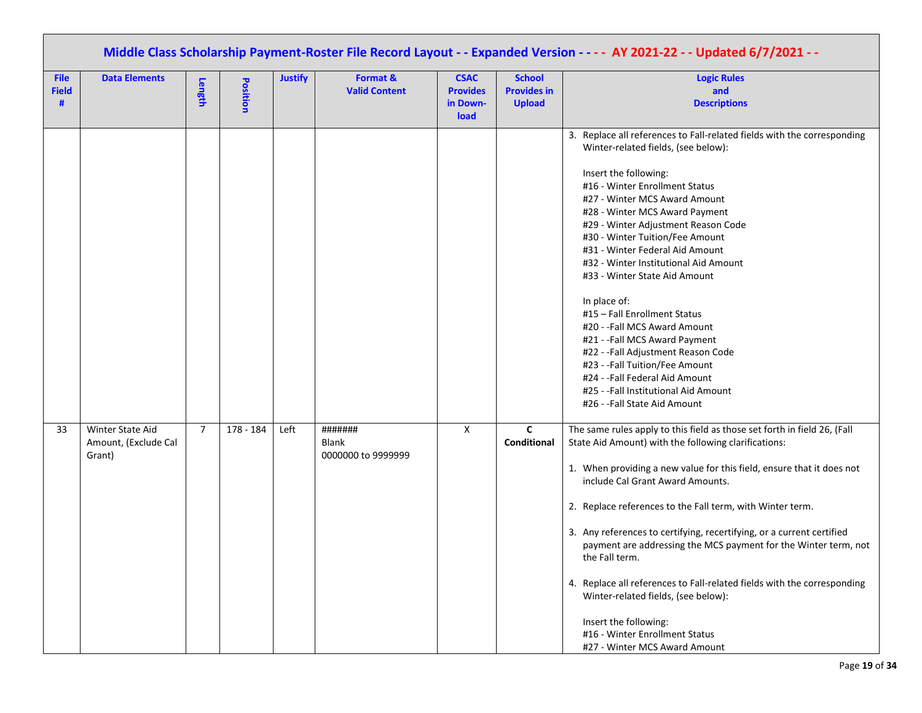|                                  | Middle Class Scholarship Payment-Roster File Record Layout - - Expanded Version - - - - AY 2021-22 - - Updated 6/7/2021 - - |                |                 |                |                                        |                                                    |                                                      |                                                                                                                                                                                                                                                                                                                                                                                                                                                                                                                                                                                                                                                                                                                                          |  |  |  |  |
|----------------------------------|-----------------------------------------------------------------------------------------------------------------------------|----------------|-----------------|----------------|----------------------------------------|----------------------------------------------------|------------------------------------------------------|------------------------------------------------------------------------------------------------------------------------------------------------------------------------------------------------------------------------------------------------------------------------------------------------------------------------------------------------------------------------------------------------------------------------------------------------------------------------------------------------------------------------------------------------------------------------------------------------------------------------------------------------------------------------------------------------------------------------------------------|--|--|--|--|
| <b>File</b><br><b>Field</b><br># | <b>Data Elements</b>                                                                                                        | Length         | <b>Position</b> | <b>Justify</b> | Format &<br><b>Valid Content</b>       | <b>CSAC</b><br><b>Provides</b><br>in Down-<br>load | <b>School</b><br><b>Provides in</b><br><b>Upload</b> | <b>Logic Rules</b><br>and<br><b>Descriptions</b>                                                                                                                                                                                                                                                                                                                                                                                                                                                                                                                                                                                                                                                                                         |  |  |  |  |
|                                  |                                                                                                                             |                |                 |                |                                        |                                                    |                                                      | 3. Replace all references to Fall-related fields with the corresponding<br>Winter-related fields, (see below):<br>Insert the following:<br>#16 - Winter Enrollment Status<br>#27 - Winter MCS Award Amount<br>#28 - Winter MCS Award Payment<br>#29 - Winter Adjustment Reason Code<br>#30 - Winter Tuition/Fee Amount<br>#31 - Winter Federal Aid Amount<br>#32 - Winter Institutional Aid Amount<br>#33 - Winter State Aid Amount<br>In place of:<br>#15 - Fall Enrollment Status<br>#20 - -Fall MCS Award Amount<br>#21 - - Fall MCS Award Payment<br>#22 - - Fall Adjustment Reason Code<br>#23 - -Fall Tuition/Fee Amount<br>#24 - -Fall Federal Aid Amount<br>#25 - -Fall Institutional Aid Amount<br>#26 - -Fall State Aid Amount |  |  |  |  |
| 33                               | Winter State Aid<br>Amount, (Exclude Cal<br>Grant)                                                                          | $\overline{7}$ | 178 - 184       | Left           | #######<br>Blank<br>0000000 to 9999999 | X                                                  | $\mathsf{c}$<br>Conditional                          | The same rules apply to this field as those set forth in field 26, (Fall<br>State Aid Amount) with the following clarifications:<br>1. When providing a new value for this field, ensure that it does not<br>include Cal Grant Award Amounts.<br>2. Replace references to the Fall term, with Winter term.<br>3. Any references to certifying, recertifying, or a current certified<br>payment are addressing the MCS payment for the Winter term, not<br>the Fall term.<br>4. Replace all references to Fall-related fields with the corresponding<br>Winter-related fields, (see below):<br>Insert the following:<br>#16 - Winter Enrollment Status<br>#27 - Winter MCS Award Amount                                                   |  |  |  |  |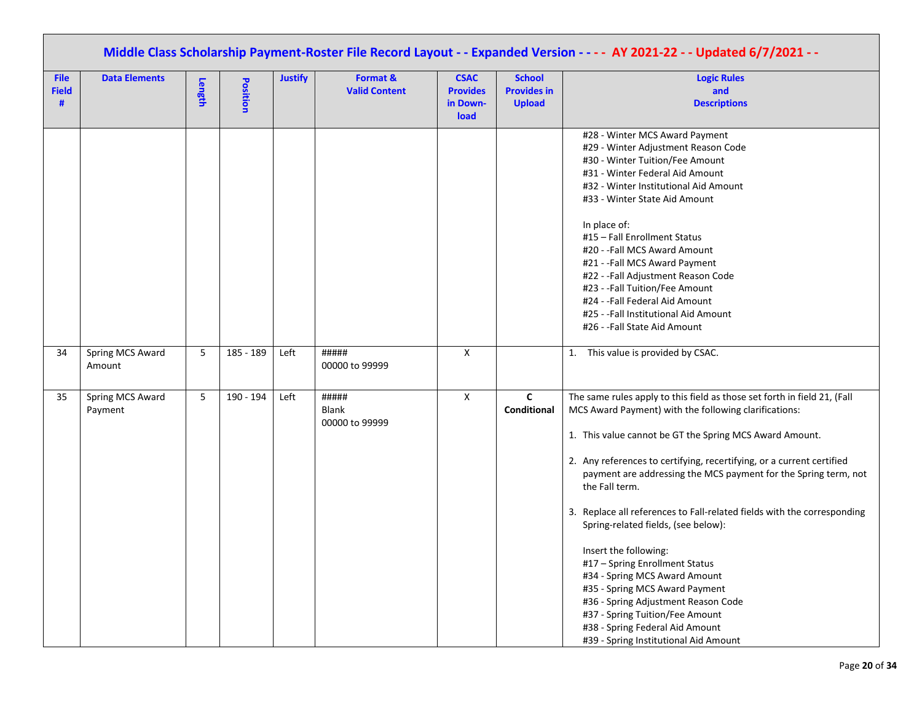|                                  | Middle Class Scholarship Payment-Roster File Record Layout - - Expanded Version - - - - AY 2021-22 - - Updated 6/7/2021 - - |        |                 |                |                                         |                                                    |                                                      |                                                                                                                                                                                                                                                                                                                                                                                                                                                                                                                                                                                                                                                                                                                                                                  |  |  |  |  |
|----------------------------------|-----------------------------------------------------------------------------------------------------------------------------|--------|-----------------|----------------|-----------------------------------------|----------------------------------------------------|------------------------------------------------------|------------------------------------------------------------------------------------------------------------------------------------------------------------------------------------------------------------------------------------------------------------------------------------------------------------------------------------------------------------------------------------------------------------------------------------------------------------------------------------------------------------------------------------------------------------------------------------------------------------------------------------------------------------------------------------------------------------------------------------------------------------------|--|--|--|--|
| <b>File</b><br><b>Field</b><br># | <b>Data Elements</b>                                                                                                        | Length | <b>Position</b> | <b>Justify</b> | Format &<br><b>Valid Content</b>        | <b>CSAC</b><br><b>Provides</b><br>in Down-<br>load | <b>School</b><br><b>Provides in</b><br><b>Upload</b> | <b>Logic Rules</b><br>and<br><b>Descriptions</b>                                                                                                                                                                                                                                                                                                                                                                                                                                                                                                                                                                                                                                                                                                                 |  |  |  |  |
|                                  |                                                                                                                             |        |                 |                |                                         |                                                    |                                                      | #28 - Winter MCS Award Payment<br>#29 - Winter Adjustment Reason Code<br>#30 - Winter Tuition/Fee Amount<br>#31 - Winter Federal Aid Amount<br>#32 - Winter Institutional Aid Amount<br>#33 - Winter State Aid Amount<br>In place of:<br>#15 - Fall Enrollment Status<br>#20 - -Fall MCS Award Amount<br>#21 - - Fall MCS Award Payment<br>#22 - - Fall Adjustment Reason Code<br>#23 - -Fall Tuition/Fee Amount<br>#24 - -Fall Federal Aid Amount<br>#25 - -Fall Institutional Aid Amount<br>#26 - -Fall State Aid Amount                                                                                                                                                                                                                                       |  |  |  |  |
| 34                               | Spring MCS Award<br>Amount                                                                                                  | 5      | 185 - 189       | Left           | #####<br>00000 to 99999                 | X                                                  |                                                      | 1. This value is provided by CSAC.                                                                                                                                                                                                                                                                                                                                                                                                                                                                                                                                                                                                                                                                                                                               |  |  |  |  |
| 35                               | Spring MCS Award<br>Payment                                                                                                 | 5      | 190 - 194       | Left           | #####<br><b>Blank</b><br>00000 to 99999 | X                                                  | C<br><b>Conditional</b>                              | The same rules apply to this field as those set forth in field 21, (Fall<br>MCS Award Payment) with the following clarifications:<br>1. This value cannot be GT the Spring MCS Award Amount.<br>2. Any references to certifying, recertifying, or a current certified<br>payment are addressing the MCS payment for the Spring term, not<br>the Fall term.<br>3. Replace all references to Fall-related fields with the corresponding<br>Spring-related fields, (see below):<br>Insert the following:<br>#17 - Spring Enrollment Status<br>#34 - Spring MCS Award Amount<br>#35 - Spring MCS Award Payment<br>#36 - Spring Adjustment Reason Code<br>#37 - Spring Tuition/Fee Amount<br>#38 - Spring Federal Aid Amount<br>#39 - Spring Institutional Aid Amount |  |  |  |  |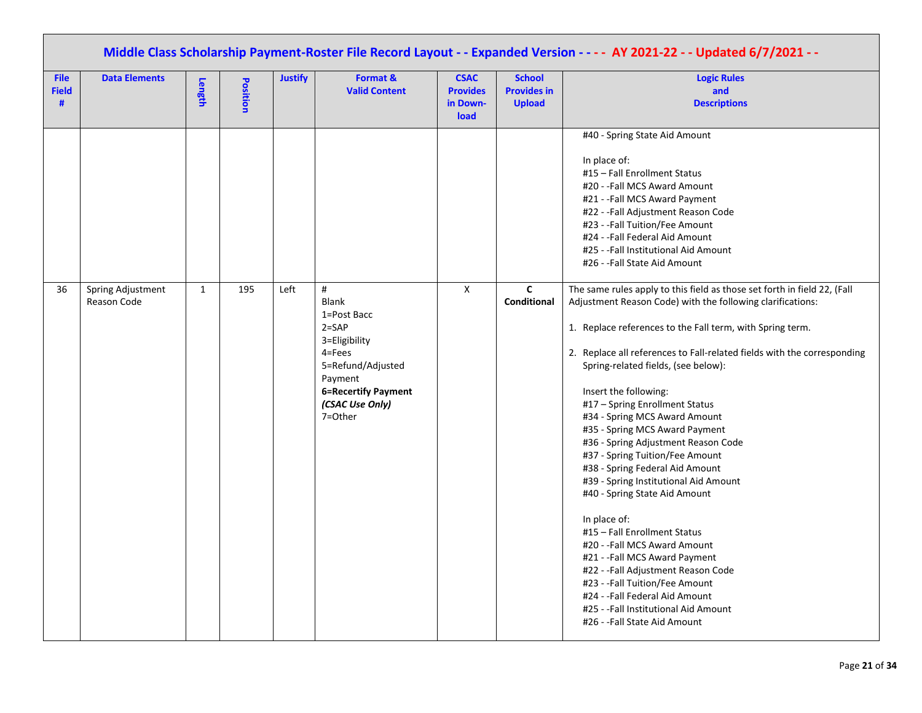|                                  | Middle Class Scholarship Payment-Roster File Record Layout - - Expanded Version - - - - AY 2021-22 - - Updated 6/7/2021 - - |              |          |                |                                                                                                                                                                   |                                                    |                                                      |                                                                                                                                                                                                                                                                                                                                                                                                                                                                                                                                                                                                                                                                                                                                                                                                                                                                                                                                                |  |  |  |  |
|----------------------------------|-----------------------------------------------------------------------------------------------------------------------------|--------------|----------|----------------|-------------------------------------------------------------------------------------------------------------------------------------------------------------------|----------------------------------------------------|------------------------------------------------------|------------------------------------------------------------------------------------------------------------------------------------------------------------------------------------------------------------------------------------------------------------------------------------------------------------------------------------------------------------------------------------------------------------------------------------------------------------------------------------------------------------------------------------------------------------------------------------------------------------------------------------------------------------------------------------------------------------------------------------------------------------------------------------------------------------------------------------------------------------------------------------------------------------------------------------------------|--|--|--|--|
| <b>File</b><br><b>Field</b><br># | <b>Data Elements</b>                                                                                                        | Length       | Position | <b>Justify</b> | Format &<br><b>Valid Content</b>                                                                                                                                  | <b>CSAC</b><br><b>Provides</b><br>in Down-<br>load | <b>School</b><br><b>Provides in</b><br><b>Upload</b> | <b>Logic Rules</b><br>and<br><b>Descriptions</b>                                                                                                                                                                                                                                                                                                                                                                                                                                                                                                                                                                                                                                                                                                                                                                                                                                                                                               |  |  |  |  |
|                                  |                                                                                                                             |              |          |                |                                                                                                                                                                   |                                                    |                                                      | #40 - Spring State Aid Amount<br>In place of:<br>#15 - Fall Enrollment Status<br>#20 - -Fall MCS Award Amount<br>#21 - -Fall MCS Award Payment<br>#22 - -Fall Adjustment Reason Code<br>#23 - -Fall Tuition/Fee Amount<br>#24 - -Fall Federal Aid Amount<br>#25 - -Fall Institutional Aid Amount<br>#26 - -Fall State Aid Amount                                                                                                                                                                                                                                                                                                                                                                                                                                                                                                                                                                                                               |  |  |  |  |
| 36                               | Spring Adjustment<br>Reason Code                                                                                            | $\mathbf{1}$ | 195      | Left           | #<br><b>Blank</b><br>1=Post Bacc<br>$2 = SAP$<br>3=Eligibility<br>$4 = Fees$<br>5=Refund/Adjusted<br>Payment<br>6=Recertify Payment<br>(CSAC Use Only)<br>7=Other | X                                                  | $\mathbf{C}$<br><b>Conditional</b>                   | The same rules apply to this field as those set forth in field 22, (Fall<br>Adjustment Reason Code) with the following clarifications:<br>1. Replace references to the Fall term, with Spring term.<br>2. Replace all references to Fall-related fields with the corresponding<br>Spring-related fields, (see below):<br>Insert the following:<br>#17 - Spring Enrollment Status<br>#34 - Spring MCS Award Amount<br>#35 - Spring MCS Award Payment<br>#36 - Spring Adjustment Reason Code<br>#37 - Spring Tuition/Fee Amount<br>#38 - Spring Federal Aid Amount<br>#39 - Spring Institutional Aid Amount<br>#40 - Spring State Aid Amount<br>In place of:<br>#15 - Fall Enrollment Status<br>#20 - -Fall MCS Award Amount<br>#21 - -Fall MCS Award Payment<br>#22 - - Fall Adjustment Reason Code<br>#23 - -Fall Tuition/Fee Amount<br>#24 - -Fall Federal Aid Amount<br>#25 - -Fall Institutional Aid Amount<br>#26 - -Fall State Aid Amount |  |  |  |  |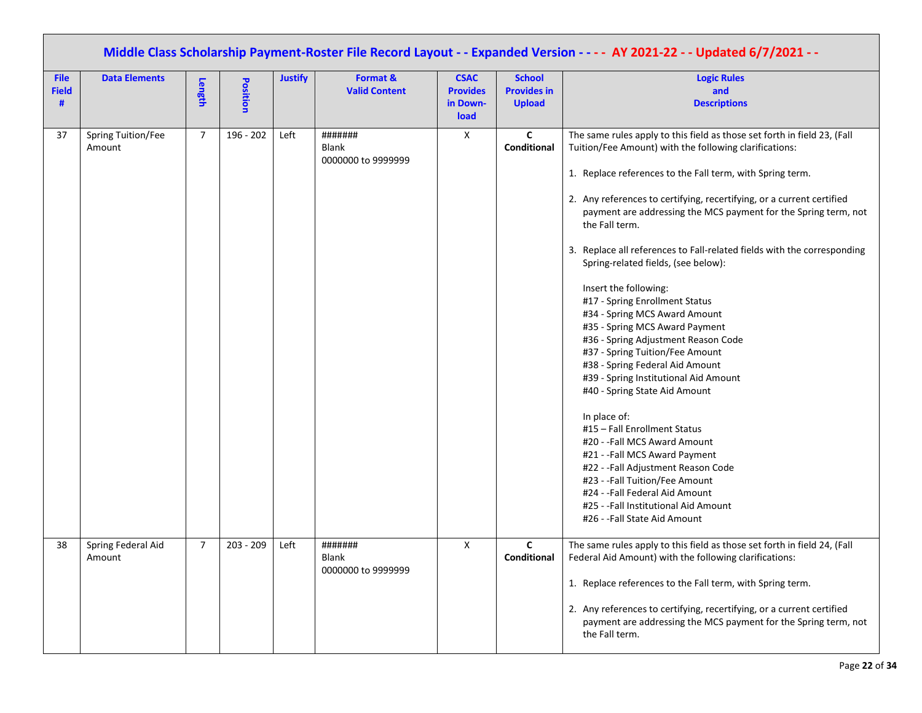|                                  | Middle Class Scholarship Payment-Roster File Record Layout - - Expanded Version - - - - AY 2021-22 - - Updated 6/7/2021 - - |                |           |                |                                        |                                                    |                                                      |                                                                                                                                                                                                                                                                                                                                                                                                                                                                                                                                                                                                                                                                                                                                                                                                                                                                                                                                                                                                                                                                                                         |  |  |  |  |
|----------------------------------|-----------------------------------------------------------------------------------------------------------------------------|----------------|-----------|----------------|----------------------------------------|----------------------------------------------------|------------------------------------------------------|---------------------------------------------------------------------------------------------------------------------------------------------------------------------------------------------------------------------------------------------------------------------------------------------------------------------------------------------------------------------------------------------------------------------------------------------------------------------------------------------------------------------------------------------------------------------------------------------------------------------------------------------------------------------------------------------------------------------------------------------------------------------------------------------------------------------------------------------------------------------------------------------------------------------------------------------------------------------------------------------------------------------------------------------------------------------------------------------------------|--|--|--|--|
| <b>File</b><br><b>Field</b><br># | <b>Data Elements</b>                                                                                                        | Length         | Position  | <b>Justify</b> | Format &<br><b>Valid Content</b>       | <b>CSAC</b><br><b>Provides</b><br>in Down-<br>load | <b>School</b><br><b>Provides in</b><br><b>Upload</b> | <b>Logic Rules</b><br>and<br><b>Descriptions</b>                                                                                                                                                                                                                                                                                                                                                                                                                                                                                                                                                                                                                                                                                                                                                                                                                                                                                                                                                                                                                                                        |  |  |  |  |
| 37                               | Spring Tuition/Fee<br>Amount                                                                                                | 7              | 196 - 202 | Left           | #######<br>Blank<br>0000000 to 9999999 | X                                                  | $\mathbf c$<br>Conditional                           | The same rules apply to this field as those set forth in field 23, (Fall<br>Tuition/Fee Amount) with the following clarifications:<br>1. Replace references to the Fall term, with Spring term.<br>2. Any references to certifying, recertifying, or a current certified<br>payment are addressing the MCS payment for the Spring term, not<br>the Fall term.<br>3. Replace all references to Fall-related fields with the corresponding<br>Spring-related fields, (see below):<br>Insert the following:<br>#17 - Spring Enrollment Status<br>#34 - Spring MCS Award Amount<br>#35 - Spring MCS Award Payment<br>#36 - Spring Adjustment Reason Code<br>#37 - Spring Tuition/Fee Amount<br>#38 - Spring Federal Aid Amount<br>#39 - Spring Institutional Aid Amount<br>#40 - Spring State Aid Amount<br>In place of:<br>#15 - Fall Enrollment Status<br>#20 - -Fall MCS Award Amount<br>#21 - -Fall MCS Award Payment<br>#22 - -Fall Adjustment Reason Code<br>#23 - -Fall Tuition/Fee Amount<br>#24 - -Fall Federal Aid Amount<br>#25 - -Fall Institutional Aid Amount<br>#26 - -Fall State Aid Amount |  |  |  |  |
| 38                               | Spring Federal Aid<br>Amount                                                                                                | $\overline{7}$ | 203 - 209 | Left           | #######<br>Blank<br>0000000 to 9999999 | X                                                  | C<br><b>Conditional</b>                              | The same rules apply to this field as those set forth in field 24, (Fall<br>Federal Aid Amount) with the following clarifications:<br>1. Replace references to the Fall term, with Spring term.<br>2. Any references to certifying, recertifying, or a current certified<br>payment are addressing the MCS payment for the Spring term, not<br>the Fall term.                                                                                                                                                                                                                                                                                                                                                                                                                                                                                                                                                                                                                                                                                                                                           |  |  |  |  |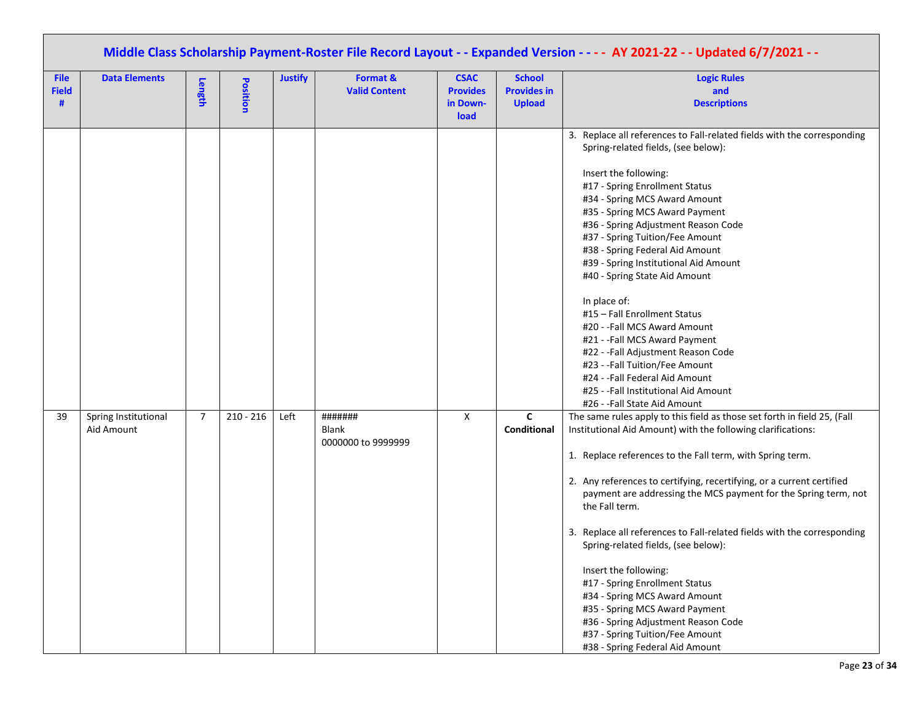| Middle Class Scholarship Payment-Roster File Record Layout - - Expanded Version - - - - AY 2021-22 - - Updated 6/7/2021 - - |                                    |                |             |                |                                               |                                                    |                                                      |                                                                                                                                                                                                                                                                                                                                                                                                                                                                                                                                                                                                                                                                                                                                          |  |  |
|-----------------------------------------------------------------------------------------------------------------------------|------------------------------------|----------------|-------------|----------------|-----------------------------------------------|----------------------------------------------------|------------------------------------------------------|------------------------------------------------------------------------------------------------------------------------------------------------------------------------------------------------------------------------------------------------------------------------------------------------------------------------------------------------------------------------------------------------------------------------------------------------------------------------------------------------------------------------------------------------------------------------------------------------------------------------------------------------------------------------------------------------------------------------------------------|--|--|
| <b>File</b><br><b>Field</b><br>#                                                                                            | <b>Data Elements</b>               | Length         | Position    | <b>Justify</b> | Format &<br><b>Valid Content</b>              | <b>CSAC</b><br><b>Provides</b><br>in Down-<br>load | <b>School</b><br><b>Provides in</b><br><b>Upload</b> | <b>Logic Rules</b><br>and<br><b>Descriptions</b>                                                                                                                                                                                                                                                                                                                                                                                                                                                                                                                                                                                                                                                                                         |  |  |
|                                                                                                                             |                                    |                |             |                |                                               |                                                    |                                                      | 3. Replace all references to Fall-related fields with the corresponding<br>Spring-related fields, (see below):<br>Insert the following:<br>#17 - Spring Enrollment Status<br>#34 - Spring MCS Award Amount<br>#35 - Spring MCS Award Payment<br>#36 - Spring Adjustment Reason Code<br>#37 - Spring Tuition/Fee Amount<br>#38 - Spring Federal Aid Amount<br>#39 - Spring Institutional Aid Amount<br>#40 - Spring State Aid Amount<br>In place of:<br>#15 - Fall Enrollment Status<br>#20 - - Fall MCS Award Amount<br>#21 - -Fall MCS Award Payment<br>#22 - - Fall Adjustment Reason Code<br>#23 - -Fall Tuition/Fee Amount<br>#24 - -Fall Federal Aid Amount<br>#25 - -Fall Institutional Aid Amount<br>#26 - -Fall State Aid Amount |  |  |
| 39                                                                                                                          | Spring Institutional<br>Aid Amount | $\overline{7}$ | $210 - 216$ | Left           | #######<br><b>Blank</b><br>0000000 to 9999999 | X                                                  | $\mathsf{C}$<br>Conditional                          | The same rules apply to this field as those set forth in field 25, (Fall<br>Institutional Aid Amount) with the following clarifications:<br>1. Replace references to the Fall term, with Spring term.<br>2. Any references to certifying, recertifying, or a current certified<br>payment are addressing the MCS payment for the Spring term, not<br>the Fall term.<br>3. Replace all references to Fall-related fields with the corresponding<br>Spring-related fields, (see below):<br>Insert the following:<br>#17 - Spring Enrollment Status<br>#34 - Spring MCS Award Amount<br>#35 - Spring MCS Award Payment<br>#36 - Spring Adjustment Reason Code<br>#37 - Spring Tuition/Fee Amount<br>#38 - Spring Federal Aid Amount         |  |  |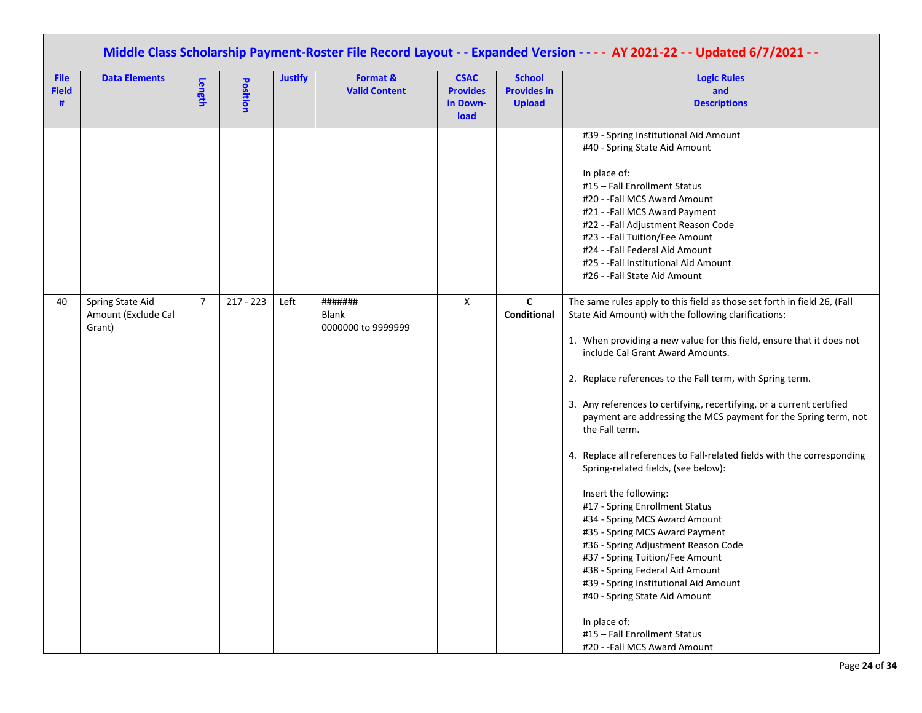|                                  | Middle Class Scholarship Payment-Roster File Record Layout - - Expanded Version - - - - AY 2021-22 - - Updated 6/7/2021 - - |                |             |                |                                               |                                                    |                                                      |                                                                                                                                                                                                                                                                                                                                                                                                                                                                                                                                                                                                                                                                                                                                                                                                                                                              |  |  |  |  |
|----------------------------------|-----------------------------------------------------------------------------------------------------------------------------|----------------|-------------|----------------|-----------------------------------------------|----------------------------------------------------|------------------------------------------------------|--------------------------------------------------------------------------------------------------------------------------------------------------------------------------------------------------------------------------------------------------------------------------------------------------------------------------------------------------------------------------------------------------------------------------------------------------------------------------------------------------------------------------------------------------------------------------------------------------------------------------------------------------------------------------------------------------------------------------------------------------------------------------------------------------------------------------------------------------------------|--|--|--|--|
| <b>File</b><br><b>Field</b><br># | <b>Data Elements</b>                                                                                                        | Length         | Position    | <b>Justify</b> | Format &<br><b>Valid Content</b>              | <b>CSAC</b><br><b>Provides</b><br>in Down-<br>load | <b>School</b><br><b>Provides in</b><br><b>Upload</b> | <b>Logic Rules</b><br>and<br><b>Descriptions</b>                                                                                                                                                                                                                                                                                                                                                                                                                                                                                                                                                                                                                                                                                                                                                                                                             |  |  |  |  |
| 40                               | Spring State Aid<br>Amount (Exclude Cal<br>Grant)                                                                           | $\overline{7}$ | $217 - 223$ | Left           | #######<br><b>Blank</b><br>0000000 to 9999999 | X                                                  | C<br>Conditional                                     | #39 - Spring Institutional Aid Amount<br>#40 - Spring State Aid Amount<br>In place of:<br>#15 - Fall Enrollment Status<br>#20 - - Fall MCS Award Amount<br>#21 - - Fall MCS Award Payment<br>#22 - -Fall Adjustment Reason Code<br>#23 - -Fall Tuition/Fee Amount<br>#24 - - Fall Federal Aid Amount<br>#25 - -Fall Institutional Aid Amount<br>#26 - -Fall State Aid Amount<br>The same rules apply to this field as those set forth in field 26, (Fall<br>State Aid Amount) with the following clarifications:                                                                                                                                                                                                                                                                                                                                             |  |  |  |  |
|                                  |                                                                                                                             |                |             |                |                                               |                                                    |                                                      | 1. When providing a new value for this field, ensure that it does not<br>include Cal Grant Award Amounts.<br>2. Replace references to the Fall term, with Spring term.<br>3. Any references to certifying, recertifying, or a current certified<br>payment are addressing the MCS payment for the Spring term, not<br>the Fall term.<br>4. Replace all references to Fall-related fields with the corresponding<br>Spring-related fields, (see below):<br>Insert the following:<br>#17 - Spring Enrollment Status<br>#34 - Spring MCS Award Amount<br>#35 - Spring MCS Award Payment<br>#36 - Spring Adjustment Reason Code<br>#37 - Spring Tuition/Fee Amount<br>#38 - Spring Federal Aid Amount<br>#39 - Spring Institutional Aid Amount<br>#40 - Spring State Aid Amount<br>In place of:<br>#15 - Fall Enrollment Status<br>#20 - - Fall MCS Award Amount |  |  |  |  |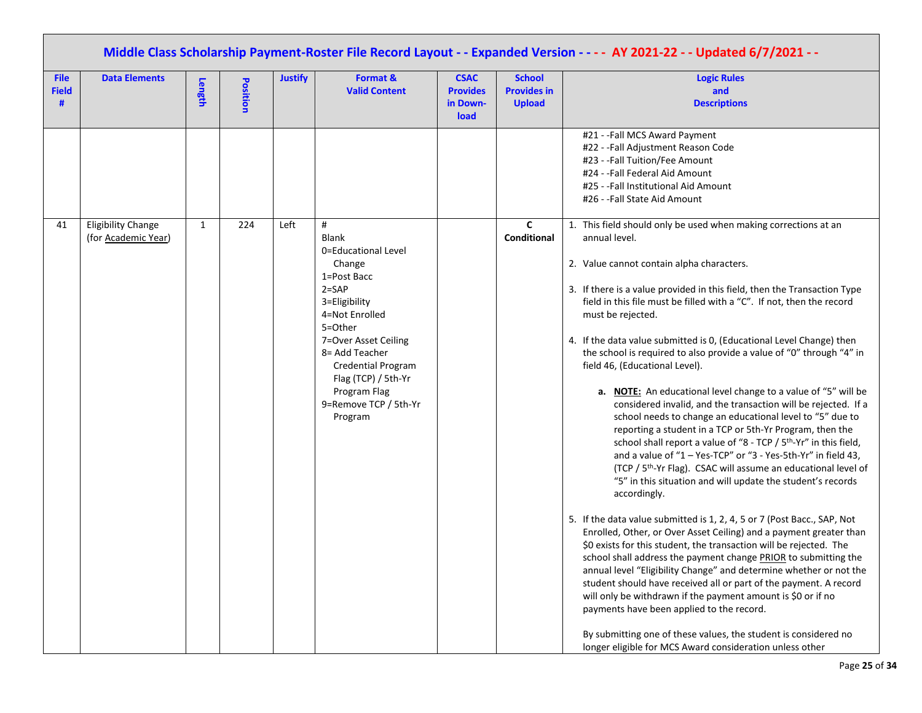|                                  | Middle Class Scholarship Payment-Roster File Record Layout - - Expanded Version - - - - AY 2021-22 - - Updated 6/7/2021 - - |        |          |                |                                                                                                                                                                                                                                                                         |                                                    |                                                      |                                                                                                                                                                                                                                                                                                                                                                                                                                                                                                                                                                                                                                                                                                                                                                                                                                                                                                                                                                                                                                                                                                                                                                                                                                                                                                                                                                                                                                                                                                                                                                                                                                                                                                                                                               |  |  |  |  |
|----------------------------------|-----------------------------------------------------------------------------------------------------------------------------|--------|----------|----------------|-------------------------------------------------------------------------------------------------------------------------------------------------------------------------------------------------------------------------------------------------------------------------|----------------------------------------------------|------------------------------------------------------|---------------------------------------------------------------------------------------------------------------------------------------------------------------------------------------------------------------------------------------------------------------------------------------------------------------------------------------------------------------------------------------------------------------------------------------------------------------------------------------------------------------------------------------------------------------------------------------------------------------------------------------------------------------------------------------------------------------------------------------------------------------------------------------------------------------------------------------------------------------------------------------------------------------------------------------------------------------------------------------------------------------------------------------------------------------------------------------------------------------------------------------------------------------------------------------------------------------------------------------------------------------------------------------------------------------------------------------------------------------------------------------------------------------------------------------------------------------------------------------------------------------------------------------------------------------------------------------------------------------------------------------------------------------------------------------------------------------------------------------------------------------|--|--|--|--|
| <b>File</b><br><b>Field</b><br># | <b>Data Elements</b>                                                                                                        | Length | Position | <b>Justify</b> | Format &<br><b>Valid Content</b>                                                                                                                                                                                                                                        | <b>CSAC</b><br><b>Provides</b><br>in Down-<br>load | <b>School</b><br><b>Provides in</b><br><b>Upload</b> | <b>Logic Rules</b><br>and<br><b>Descriptions</b>                                                                                                                                                                                                                                                                                                                                                                                                                                                                                                                                                                                                                                                                                                                                                                                                                                                                                                                                                                                                                                                                                                                                                                                                                                                                                                                                                                                                                                                                                                                                                                                                                                                                                                              |  |  |  |  |
|                                  |                                                                                                                             |        |          |                |                                                                                                                                                                                                                                                                         |                                                    |                                                      | #21 - -Fall MCS Award Payment<br>#22 - -Fall Adjustment Reason Code<br>#23 - -Fall Tuition/Fee Amount<br>#24 - - Fall Federal Aid Amount<br>#25 - -Fall Institutional Aid Amount<br>#26 - -Fall State Aid Amount                                                                                                                                                                                                                                                                                                                                                                                                                                                                                                                                                                                                                                                                                                                                                                                                                                                                                                                                                                                                                                                                                                                                                                                                                                                                                                                                                                                                                                                                                                                                              |  |  |  |  |
| 41                               | <b>Eligibility Change</b><br>(for Academic Year)                                                                            | 1      | 224      | Left           | #<br><b>Blank</b><br>0=Educational Level<br>Change<br>1=Post Bacc<br>$2 =$ SAP<br>3=Eligibility<br>4=Not Enrolled<br>5=Other<br>7=Over Asset Ceiling<br>8= Add Teacher<br>Credential Program<br>Flag (TCP) / 5th-Yr<br>Program Flag<br>9=Remove TCP / 5th-Yr<br>Program |                                                    | C<br>Conditional                                     | 1. This field should only be used when making corrections at an<br>annual level.<br>2. Value cannot contain alpha characters.<br>3. If there is a value provided in this field, then the Transaction Type<br>field in this file must be filled with a "C". If not, then the record<br>must be rejected.<br>4. If the data value submitted is 0, (Educational Level Change) then<br>the school is required to also provide a value of "0" through "4" in<br>field 46, (Educational Level).<br>a. <b>NOTE:</b> An educational level change to a value of "5" will be<br>considered invalid, and the transaction will be rejected. If a<br>school needs to change an educational level to "5" due to<br>reporting a student in a TCP or 5th-Yr Program, then the<br>school shall report a value of "8 - TCP / 5 <sup>th</sup> -Yr" in this field,<br>and a value of "1 - Yes-TCP" or "3 - Yes-5th-Yr" in field 43,<br>(TCP / 5 <sup>th</sup> -Yr Flag). CSAC will assume an educational level of<br>"5" in this situation and will update the student's records<br>accordingly.<br>5. If the data value submitted is 1, 2, 4, 5 or 7 (Post Bacc., SAP, Not<br>Enrolled, Other, or Over Asset Ceiling) and a payment greater than<br>\$0 exists for this student, the transaction will be rejected. The<br>school shall address the payment change PRIOR to submitting the<br>annual level "Eligibility Change" and determine whether or not the<br>student should have received all or part of the payment. A record<br>will only be withdrawn if the payment amount is \$0 or if no<br>payments have been applied to the record.<br>By submitting one of these values, the student is considered no<br>longer eligible for MCS Award consideration unless other |  |  |  |  |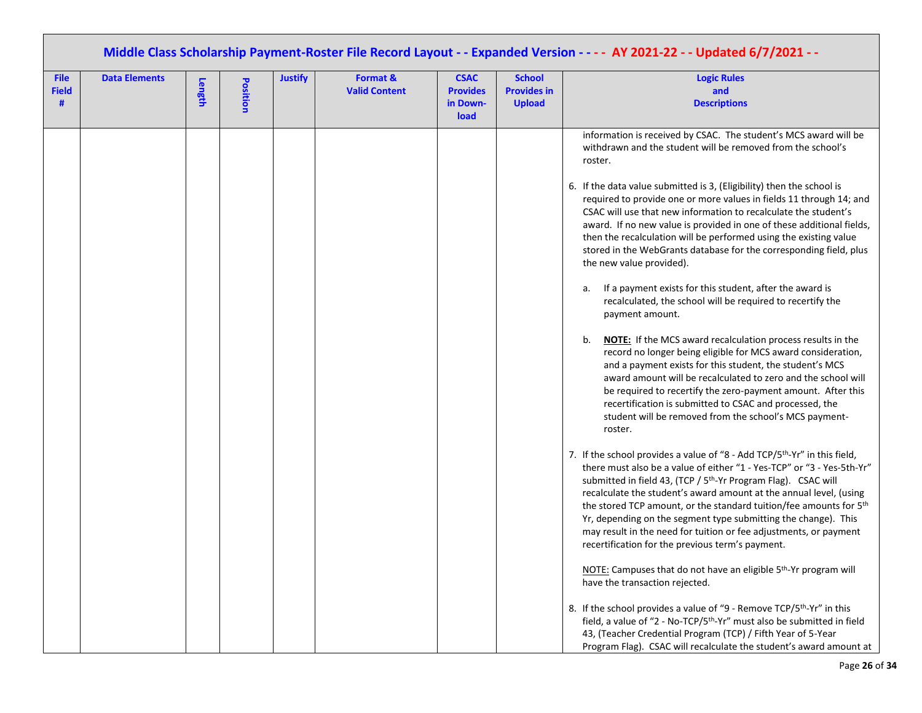|                                  | Middle Class Scholarship Payment-Roster File Record Layout - - Expanded Version - - - - AY 2021-22 - - Updated 6/7/2021 - - |        |                 |                |                                  |                                                    |                                                      |                                                                                                                                                                                                                                                                                                                                                                                                                                                                                                                                                                                                                                                                                                                                                                                                                                                                                                                                                                                                                                                                                                                                                                                                                                                                                                                                                                                                                                                                                                                                                                                                                                                                                                                                                                                                                                                                                                                                                          |  |  |  |
|----------------------------------|-----------------------------------------------------------------------------------------------------------------------------|--------|-----------------|----------------|----------------------------------|----------------------------------------------------|------------------------------------------------------|----------------------------------------------------------------------------------------------------------------------------------------------------------------------------------------------------------------------------------------------------------------------------------------------------------------------------------------------------------------------------------------------------------------------------------------------------------------------------------------------------------------------------------------------------------------------------------------------------------------------------------------------------------------------------------------------------------------------------------------------------------------------------------------------------------------------------------------------------------------------------------------------------------------------------------------------------------------------------------------------------------------------------------------------------------------------------------------------------------------------------------------------------------------------------------------------------------------------------------------------------------------------------------------------------------------------------------------------------------------------------------------------------------------------------------------------------------------------------------------------------------------------------------------------------------------------------------------------------------------------------------------------------------------------------------------------------------------------------------------------------------------------------------------------------------------------------------------------------------------------------------------------------------------------------------------------------------|--|--|--|
| <b>File</b><br><b>Field</b><br># | <b>Data Elements</b>                                                                                                        | Length | <b>Position</b> | <b>Justify</b> | Format &<br><b>Valid Content</b> | <b>CSAC</b><br><b>Provides</b><br>in Down-<br>load | <b>School</b><br><b>Provides in</b><br><b>Upload</b> | <b>Logic Rules</b><br>and<br><b>Descriptions</b>                                                                                                                                                                                                                                                                                                                                                                                                                                                                                                                                                                                                                                                                                                                                                                                                                                                                                                                                                                                                                                                                                                                                                                                                                                                                                                                                                                                                                                                                                                                                                                                                                                                                                                                                                                                                                                                                                                         |  |  |  |
|                                  |                                                                                                                             |        |                 |                |                                  |                                                    |                                                      | information is received by CSAC. The student's MCS award will be<br>withdrawn and the student will be removed from the school's<br>roster.<br>6. If the data value submitted is 3, (Eligibility) then the school is<br>required to provide one or more values in fields 11 through 14; and<br>CSAC will use that new information to recalculate the student's<br>award. If no new value is provided in one of these additional fields,<br>then the recalculation will be performed using the existing value<br>stored in the WebGrants database for the corresponding field, plus<br>the new value provided).<br>If a payment exists for this student, after the award is<br>а.<br>recalculated, the school will be required to recertify the<br>payment amount.<br>NOTE: If the MCS award recalculation process results in the<br>b.<br>record no longer being eligible for MCS award consideration,<br>and a payment exists for this student, the student's MCS<br>award amount will be recalculated to zero and the school will<br>be required to recertify the zero-payment amount. After this<br>recertification is submitted to CSAC and processed, the<br>student will be removed from the school's MCS payment-<br>roster.<br>7. If the school provides a value of "8 - Add TCP/5 <sup>th</sup> -Yr" in this field,<br>there must also be a value of either "1 - Yes-TCP" or "3 - Yes-5th-Yr"<br>submitted in field 43, (TCP / 5 <sup>th</sup> -Yr Program Flag). CSAC will<br>recalculate the student's award amount at the annual level, (using<br>the stored TCP amount, or the standard tuition/fee amounts for 5 <sup>th</sup><br>Yr, depending on the segment type submitting the change). This<br>may result in the need for tuition or fee adjustments, or payment<br>recertification for the previous term's payment.<br>NOTE: Campuses that do not have an eligible 5 <sup>th</sup> -Yr program will<br>have the transaction rejected. |  |  |  |
|                                  |                                                                                                                             |        |                 |                |                                  |                                                    |                                                      | 8. If the school provides a value of "9 - Remove TCP/5 <sup>th</sup> -Yr" in this<br>field, a value of "2 - No-TCP/5 <sup>th</sup> -Yr" must also be submitted in field<br>43, (Teacher Credential Program (TCP) / Fifth Year of 5-Year<br>Program Flag). CSAC will recalculate the student's award amount at                                                                                                                                                                                                                                                                                                                                                                                                                                                                                                                                                                                                                                                                                                                                                                                                                                                                                                                                                                                                                                                                                                                                                                                                                                                                                                                                                                                                                                                                                                                                                                                                                                            |  |  |  |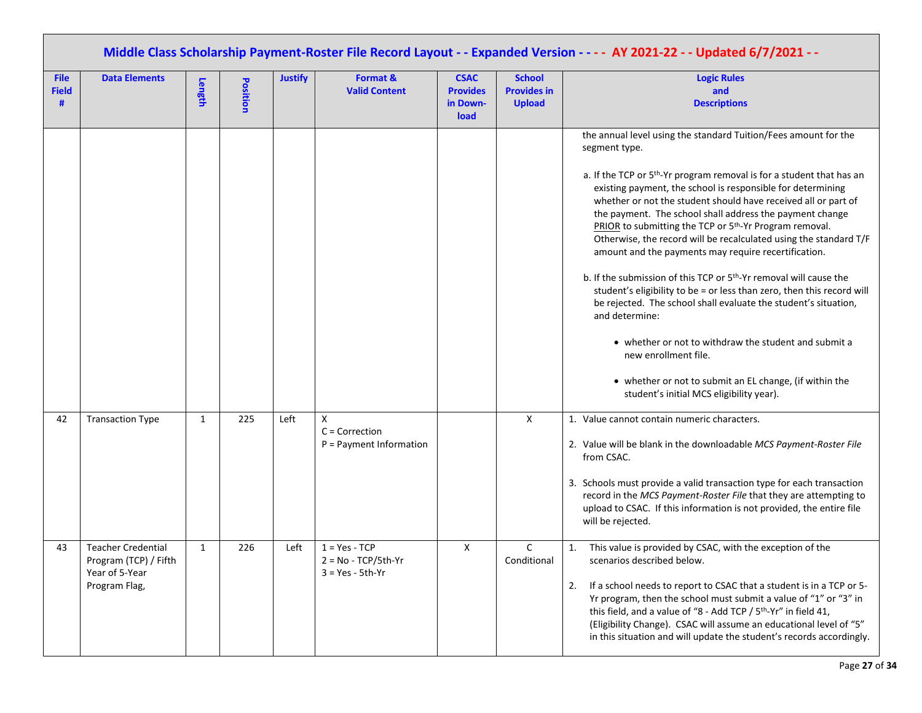| Middle Class Scholarship Payment-Roster File Record Layout - - Expanded Version - - - - AY 2021-22 - - Updated 6/7/2021 - - |                                                                                       |              |          |                |                                                                |                                                    |                                                      |                                                                                                                                                                                                                                                                                                                                                                                                                                                                                                                                                                                                                                                                                                                                                                                                                                                                                                                                                                                                                 |  |  |
|-----------------------------------------------------------------------------------------------------------------------------|---------------------------------------------------------------------------------------|--------------|----------|----------------|----------------------------------------------------------------|----------------------------------------------------|------------------------------------------------------|-----------------------------------------------------------------------------------------------------------------------------------------------------------------------------------------------------------------------------------------------------------------------------------------------------------------------------------------------------------------------------------------------------------------------------------------------------------------------------------------------------------------------------------------------------------------------------------------------------------------------------------------------------------------------------------------------------------------------------------------------------------------------------------------------------------------------------------------------------------------------------------------------------------------------------------------------------------------------------------------------------------------|--|--|
| <b>File</b><br><b>Field</b><br>#                                                                                            | <b>Data Elements</b>                                                                  | Length       | Position | <b>Justify</b> | Format &<br><b>Valid Content</b>                               | <b>CSAC</b><br><b>Provides</b><br>in Down-<br>load | <b>School</b><br><b>Provides in</b><br><b>Upload</b> | <b>Logic Rules</b><br>and<br><b>Descriptions</b>                                                                                                                                                                                                                                                                                                                                                                                                                                                                                                                                                                                                                                                                                                                                                                                                                                                                                                                                                                |  |  |
|                                                                                                                             |                                                                                       |              |          |                |                                                                |                                                    |                                                      | the annual level using the standard Tuition/Fees amount for the<br>segment type.<br>a. If the TCP or 5 <sup>th</sup> -Yr program removal is for a student that has an<br>existing payment, the school is responsible for determining<br>whether or not the student should have received all or part of<br>the payment. The school shall address the payment change<br>PRIOR to submitting the TCP or 5 <sup>th</sup> -Yr Program removal.<br>Otherwise, the record will be recalculated using the standard T/F<br>amount and the payments may require recertification.<br>b. If the submission of this TCP or 5 <sup>th</sup> -Yr removal will cause the<br>student's eligibility to be = or less than zero, then this record will<br>be rejected. The school shall evaluate the student's situation,<br>and determine:<br>• whether or not to withdraw the student and submit a<br>new enrollment file.<br>• whether or not to submit an EL change, (if within the<br>student's initial MCS eligibility year). |  |  |
| 42                                                                                                                          | <b>Transaction Type</b>                                                               | $\mathbf{1}$ | 225      | Left           | $\mathsf{X}$<br>$C =$ Correction<br>$P =$ Payment Information  |                                                    | $\mathsf{x}$                                         | 1. Value cannot contain numeric characters.<br>2. Value will be blank in the downloadable MCS Payment-Roster File<br>from CSAC.<br>3. Schools must provide a valid transaction type for each transaction<br>record in the MCS Payment-Roster File that they are attempting to<br>upload to CSAC. If this information is not provided, the entire file<br>will be rejected.                                                                                                                                                                                                                                                                                                                                                                                                                                                                                                                                                                                                                                      |  |  |
| 43                                                                                                                          | <b>Teacher Credential</b><br>Program (TCP) / Fifth<br>Year of 5-Year<br>Program Flag, | $\mathbf{1}$ | 226      | Left           | $1 = Yes - TCP$<br>$2 = No - TCP/5th-Yr$<br>$3 = Yes - 5th-Yr$ | X                                                  | C<br>Conditional                                     | 1. This value is provided by CSAC, with the exception of the<br>scenarios described below.<br>If a school needs to report to CSAC that a student is in a TCP or 5-<br>2.<br>Yr program, then the school must submit a value of "1" or "3" in<br>this field, and a value of "8 - Add TCP / 5 <sup>th</sup> -Yr" in field 41,<br>(Eligibility Change). CSAC will assume an educational level of "5"<br>in this situation and will update the student's records accordingly.                                                                                                                                                                                                                                                                                                                                                                                                                                                                                                                                       |  |  |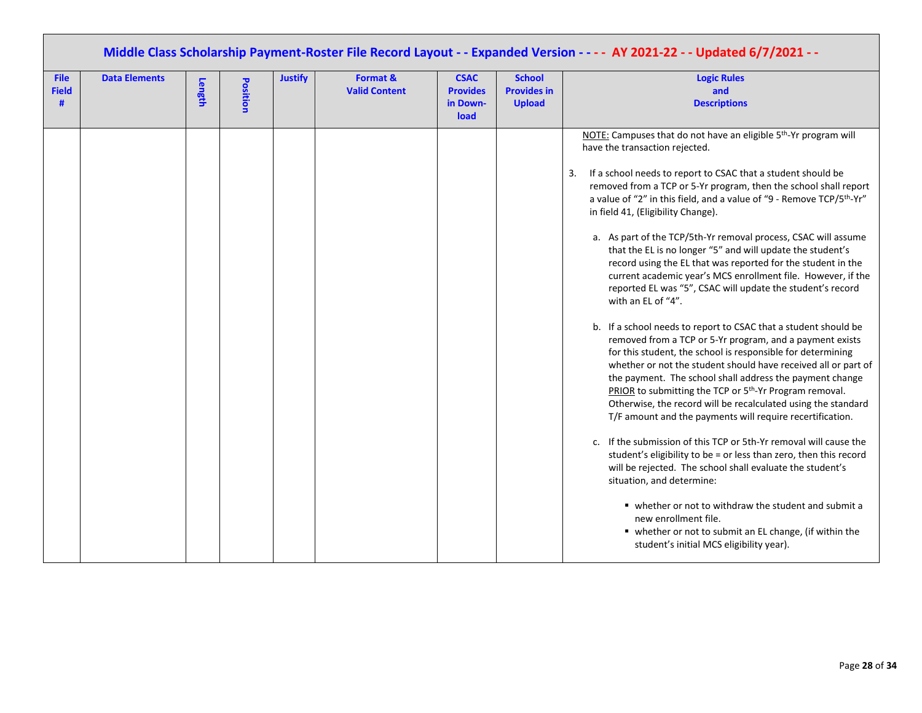|                                  |                      |        |          | Middle Class Scholarship Payment-Roster File Record Layout - - Expanded Version - - - - AY 2021-22 - - Updated 6/7/2021 - - |                                  |                                                    |                                                      |                                                                                                                                                                                                                                                                                                                                                                                                                                                                                                                                                                                                                                                                                                                                                                                                                                                                                                                                                                                                                                                                                                                                                                                                                                                                                                                                                                                                                                                                                                                                                                                                                                                                                         |
|----------------------------------|----------------------|--------|----------|-----------------------------------------------------------------------------------------------------------------------------|----------------------------------|----------------------------------------------------|------------------------------------------------------|-----------------------------------------------------------------------------------------------------------------------------------------------------------------------------------------------------------------------------------------------------------------------------------------------------------------------------------------------------------------------------------------------------------------------------------------------------------------------------------------------------------------------------------------------------------------------------------------------------------------------------------------------------------------------------------------------------------------------------------------------------------------------------------------------------------------------------------------------------------------------------------------------------------------------------------------------------------------------------------------------------------------------------------------------------------------------------------------------------------------------------------------------------------------------------------------------------------------------------------------------------------------------------------------------------------------------------------------------------------------------------------------------------------------------------------------------------------------------------------------------------------------------------------------------------------------------------------------------------------------------------------------------------------------------------------------|
| <b>File</b><br><b>Field</b><br># | <b>Data Elements</b> | Length | Position | <b>Justify</b>                                                                                                              | Format &<br><b>Valid Content</b> | <b>CSAC</b><br><b>Provides</b><br>in Down-<br>load | <b>School</b><br><b>Provides in</b><br><b>Upload</b> | <b>Logic Rules</b><br>and<br><b>Descriptions</b>                                                                                                                                                                                                                                                                                                                                                                                                                                                                                                                                                                                                                                                                                                                                                                                                                                                                                                                                                                                                                                                                                                                                                                                                                                                                                                                                                                                                                                                                                                                                                                                                                                        |
|                                  |                      |        |          |                                                                                                                             |                                  |                                                    |                                                      | NOTE: Campuses that do not have an eligible 5 <sup>th</sup> -Yr program will<br>have the transaction rejected.<br>If a school needs to report to CSAC that a student should be<br>3.<br>removed from a TCP or 5-Yr program, then the school shall report<br>a value of "2" in this field, and a value of "9 - Remove TCP/5th-Yr"<br>in field 41, (Eligibility Change).<br>a. As part of the TCP/5th-Yr removal process, CSAC will assume<br>that the EL is no longer "5" and will update the student's<br>record using the EL that was reported for the student in the<br>current academic year's MCS enrollment file. However, if the<br>reported EL was "5", CSAC will update the student's record<br>with an EL of "4".<br>b. If a school needs to report to CSAC that a student should be<br>removed from a TCP or 5-Yr program, and a payment exists<br>for this student, the school is responsible for determining<br>whether or not the student should have received all or part of<br>the payment. The school shall address the payment change<br>PRIOR to submitting the TCP or 5 <sup>th</sup> -Yr Program removal.<br>Otherwise, the record will be recalculated using the standard<br>T/F amount and the payments will require recertification.<br>c. If the submission of this TCP or 5th-Yr removal will cause the<br>student's eligibility to be = or less than zero, then this record<br>will be rejected. The school shall evaluate the student's<br>situation, and determine:<br>■ whether or not to withdraw the student and submit a<br>new enrollment file.<br>• whether or not to submit an EL change, (if within the<br>student's initial MCS eligibility year). |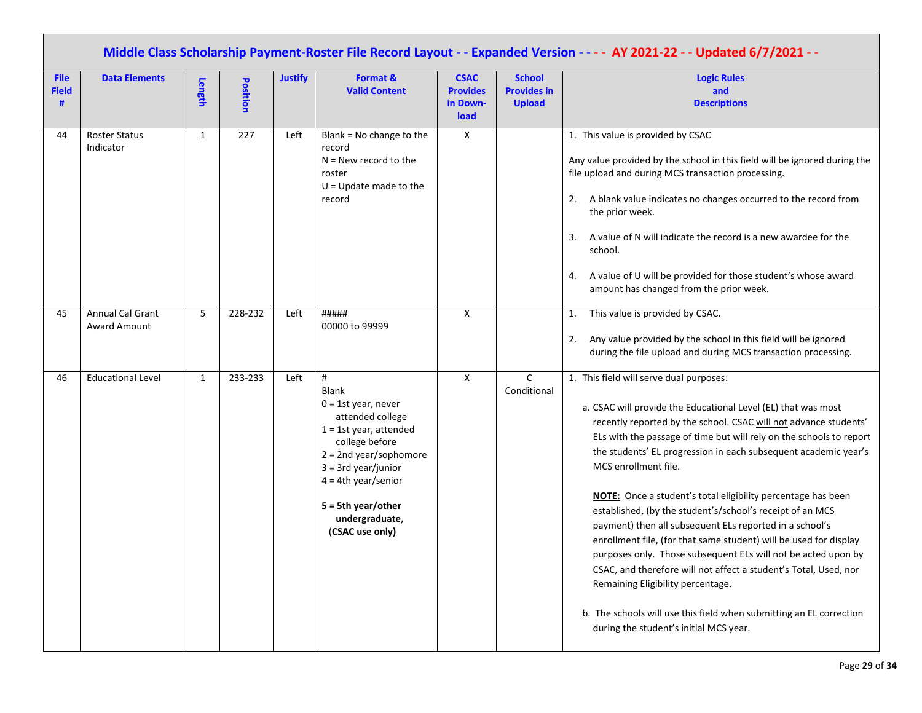| <b>File</b><br><b>Field</b><br># | <b>Data Elements</b>                    | Length       | Position | <b>Justify</b> | Format &<br><b>Valid Content</b>                                                                                                                                                                                                                            | <b>CSAC</b><br><b>Provides</b><br>in Down-<br>load | <b>School</b><br><b>Provides in</b><br><b>Upload</b> | Middle Class Scholarship Payment-Roster File Record Layout - - Expanded Version - - - - AY 2021-22 - - Updated 6/7/2021 - -<br><b>Logic Rules</b><br>and<br><b>Descriptions</b>                                                                                                                                                                                                                                                                                                                                                                                                                                                                                                                                                                                                                                                                                                                        |
|----------------------------------|-----------------------------------------|--------------|----------|----------------|-------------------------------------------------------------------------------------------------------------------------------------------------------------------------------------------------------------------------------------------------------------|----------------------------------------------------|------------------------------------------------------|--------------------------------------------------------------------------------------------------------------------------------------------------------------------------------------------------------------------------------------------------------------------------------------------------------------------------------------------------------------------------------------------------------------------------------------------------------------------------------------------------------------------------------------------------------------------------------------------------------------------------------------------------------------------------------------------------------------------------------------------------------------------------------------------------------------------------------------------------------------------------------------------------------|
| 44                               | <b>Roster Status</b><br>Indicator       | 1            | 227      | Left           | Blank = No change to the<br>record<br>$N =$ New record to the<br>roster<br>$U =$ Update made to the<br>record                                                                                                                                               | Χ                                                  |                                                      | 1. This value is provided by CSAC<br>Any value provided by the school in this field will be ignored during the<br>file upload and during MCS transaction processing.<br>A blank value indicates no changes occurred to the record from<br>2.<br>the prior week.<br>A value of N will indicate the record is a new awardee for the<br>3.<br>school.<br>A value of U will be provided for those student's whose award<br>4.<br>amount has changed from the prior week.                                                                                                                                                                                                                                                                                                                                                                                                                                   |
| 45                               | Annual Cal Grant<br><b>Award Amount</b> | 5            | 228-232  | Left           | #####<br>00000 to 99999                                                                                                                                                                                                                                     | $\mathsf{X}$                                       |                                                      | This value is provided by CSAC.<br>1.<br>Any value provided by the school in this field will be ignored<br>2.<br>during the file upload and during MCS transaction processing.                                                                                                                                                                                                                                                                                                                                                                                                                                                                                                                                                                                                                                                                                                                         |
| 46                               | <b>Educational Level</b>                | $\mathbf{1}$ | 233-233  | Left           | #<br><b>Blank</b><br>$0 = 1$ st year, never<br>attended college<br>$1 = 1$ st year, attended<br>college before<br>$2 = 2$ nd year/sophomore<br>$3 = 3$ rd year/junior<br>$4 = 4th year/senior$<br>$5 = 5th year/other$<br>undergraduate,<br>(CSAC use only) | $\mathsf{x}$                                       | $\mathsf{C}$<br>Conditional                          | 1. This field will serve dual purposes:<br>a. CSAC will provide the Educational Level (EL) that was most<br>recently reported by the school. CSAC will not advance students'<br>ELs with the passage of time but will rely on the schools to report<br>the students' EL progression in each subsequent academic year's<br>MCS enrollment file.<br>NOTE: Once a student's total eligibility percentage has been<br>established, (by the student's/school's receipt of an MCS<br>payment) then all subsequent ELs reported in a school's<br>enrollment file, (for that same student) will be used for display<br>purposes only. Those subsequent ELs will not be acted upon by<br>CSAC, and therefore will not affect a student's Total, Used, nor<br>Remaining Eligibility percentage.<br>b. The schools will use this field when submitting an EL correction<br>during the student's initial MCS year. |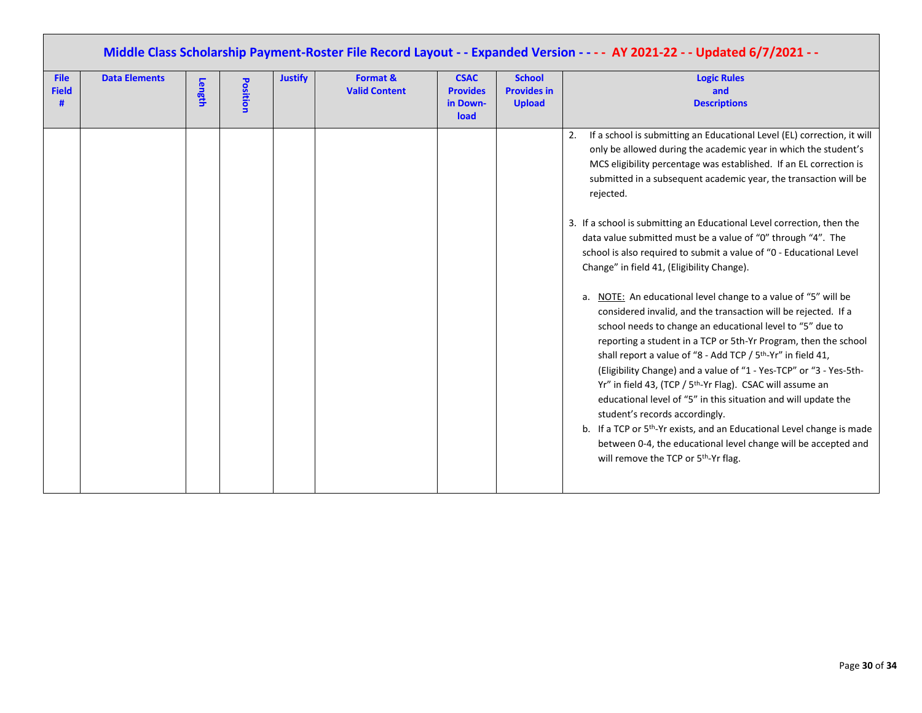| Middle Class Scholarship Payment-Roster File Record Layout - - Expanded Version - - - - AY 2021-22 - - Updated 6/7/2021 - -                                                                                                                                                                                                                                                                                                                         |                                                                                                                                                                                                                                                                                                                                                                                                                                                                                                                                                                                                                                                                                                                                                                                                                                                                                                                                 |  |  |  |  |  |  |  |  |  |
|-----------------------------------------------------------------------------------------------------------------------------------------------------------------------------------------------------------------------------------------------------------------------------------------------------------------------------------------------------------------------------------------------------------------------------------------------------|---------------------------------------------------------------------------------------------------------------------------------------------------------------------------------------------------------------------------------------------------------------------------------------------------------------------------------------------------------------------------------------------------------------------------------------------------------------------------------------------------------------------------------------------------------------------------------------------------------------------------------------------------------------------------------------------------------------------------------------------------------------------------------------------------------------------------------------------------------------------------------------------------------------------------------|--|--|--|--|--|--|--|--|--|
| <b>Justify</b><br>Format &<br><b>School</b><br><b>Data Elements</b><br><b>CSAC</b><br><b>File</b><br><b>Position</b><br>Length<br><b>Provides in</b><br><b>Field</b><br><b>Valid Content</b><br><b>Provides</b><br><b>Upload</b><br>#<br>in Down-<br>load                                                                                                                                                                                           | <b>Logic Rules</b><br>and<br><b>Descriptions</b>                                                                                                                                                                                                                                                                                                                                                                                                                                                                                                                                                                                                                                                                                                                                                                                                                                                                                |  |  |  |  |  |  |  |  |  |
| 2.<br>rejected.<br>3. If a school is submitting an Educational Level correction, then the<br>data value submitted must be a value of "0" through "4". The<br>Change" in field 41, (Eligibility Change).<br>shall report a value of "8 - Add TCP / 5 <sup>th</sup> -Yr" in field 41,<br>Yr" in field 43, (TCP / 5 <sup>th</sup> -Yr Flag). CSAC will assume an<br>student's records accordingly.<br>will remove the TCP or 5 <sup>th</sup> -Yr flag. | If a school is submitting an Educational Level (EL) correction, it will<br>only be allowed during the academic year in which the student's<br>MCS eligibility percentage was established. If an EL correction is<br>submitted in a subsequent academic year, the transaction will be<br>school is also required to submit a value of "0 - Educational Level<br>a. NOTE: An educational level change to a value of "5" will be<br>considered invalid, and the transaction will be rejected. If a<br>school needs to change an educational level to "5" due to<br>reporting a student in a TCP or 5th-Yr Program, then the school<br>(Eligibility Change) and a value of "1 - Yes-TCP" or "3 - Yes-5th-<br>educational level of "5" in this situation and will update the<br>b. If a TCP or 5 <sup>th</sup> -Yr exists, and an Educational Level change is made<br>between 0-4, the educational level change will be accepted and |  |  |  |  |  |  |  |  |  |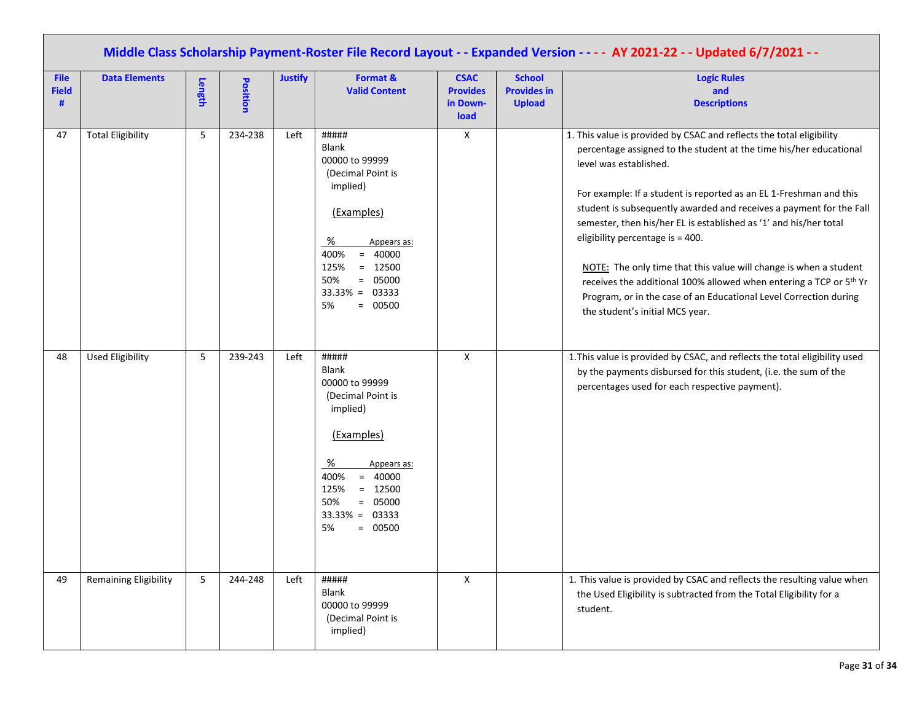|                                  | Middle Class Scholarship Payment-Roster File Record Layout - - Expanded Version - - - - AY 2021-22 - - Updated 6/7/2021 - - |        |                 |                |                                                                                                                                                                                                           |                                                    |                                                      |                                                                                                                                                                                                                                                                                                                                                                                                                                                                                                                                                                                                                                                                                           |  |  |  |  |
|----------------------------------|-----------------------------------------------------------------------------------------------------------------------------|--------|-----------------|----------------|-----------------------------------------------------------------------------------------------------------------------------------------------------------------------------------------------------------|----------------------------------------------------|------------------------------------------------------|-------------------------------------------------------------------------------------------------------------------------------------------------------------------------------------------------------------------------------------------------------------------------------------------------------------------------------------------------------------------------------------------------------------------------------------------------------------------------------------------------------------------------------------------------------------------------------------------------------------------------------------------------------------------------------------------|--|--|--|--|
| <b>File</b><br><b>Field</b><br># | <b>Data Elements</b>                                                                                                        | Length | <b>Position</b> | <b>Justify</b> | Format &<br><b>Valid Content</b>                                                                                                                                                                          | <b>CSAC</b><br><b>Provides</b><br>in Down-<br>load | <b>School</b><br><b>Provides in</b><br><b>Upload</b> | <b>Logic Rules</b><br>and<br><b>Descriptions</b>                                                                                                                                                                                                                                                                                                                                                                                                                                                                                                                                                                                                                                          |  |  |  |  |
| 47                               | <b>Total Eligibility</b>                                                                                                    | 5      | 234-238         | Left           | #####<br>Blank<br>00000 to 99999<br>(Decimal Point is<br>implied)<br>(Examples)<br>%<br>Appears as:<br>$= 40000$<br>400%<br>$= 12500$<br>125%<br>50%<br>$= 05000$<br>$33.33\% = 03333$<br>$= 00500$<br>5% | X                                                  |                                                      | 1. This value is provided by CSAC and reflects the total eligibility<br>percentage assigned to the student at the time his/her educational<br>level was established.<br>For example: If a student is reported as an EL 1-Freshman and this<br>student is subsequently awarded and receives a payment for the Fall<br>semester, then his/her EL is established as '1' and his/her total<br>eligibility percentage is = 400.<br>NOTE: The only time that this value will change is when a student<br>receives the additional 100% allowed when entering a TCP or 5 <sup>th</sup> Yr<br>Program, or in the case of an Educational Level Correction during<br>the student's initial MCS year. |  |  |  |  |
| 48                               | <b>Used Eligibility</b>                                                                                                     | 5      | 239-243         | Left           | #####<br>Blank<br>00000 to 99999<br>(Decimal Point is<br>implied)<br>(Examples)<br>%<br>Appears as:<br>400%<br>$= 40000$<br>$= 12500$<br>125%<br>$= 05000$<br>50%<br>$33.33\% = 03333$<br>$= 00500$<br>5% | X                                                  |                                                      | 1. This value is provided by CSAC, and reflects the total eligibility used<br>by the payments disbursed for this student, (i.e. the sum of the<br>percentages used for each respective payment).                                                                                                                                                                                                                                                                                                                                                                                                                                                                                          |  |  |  |  |
| 49                               | <b>Remaining Eligibility</b>                                                                                                | 5      | 244-248         | Left           | #####<br>Blank<br>00000 to 99999<br>(Decimal Point is<br>implied)                                                                                                                                         | X                                                  |                                                      | 1. This value is provided by CSAC and reflects the resulting value when<br>the Used Eligibility is subtracted from the Total Eligibility for a<br>student.                                                                                                                                                                                                                                                                                                                                                                                                                                                                                                                                |  |  |  |  |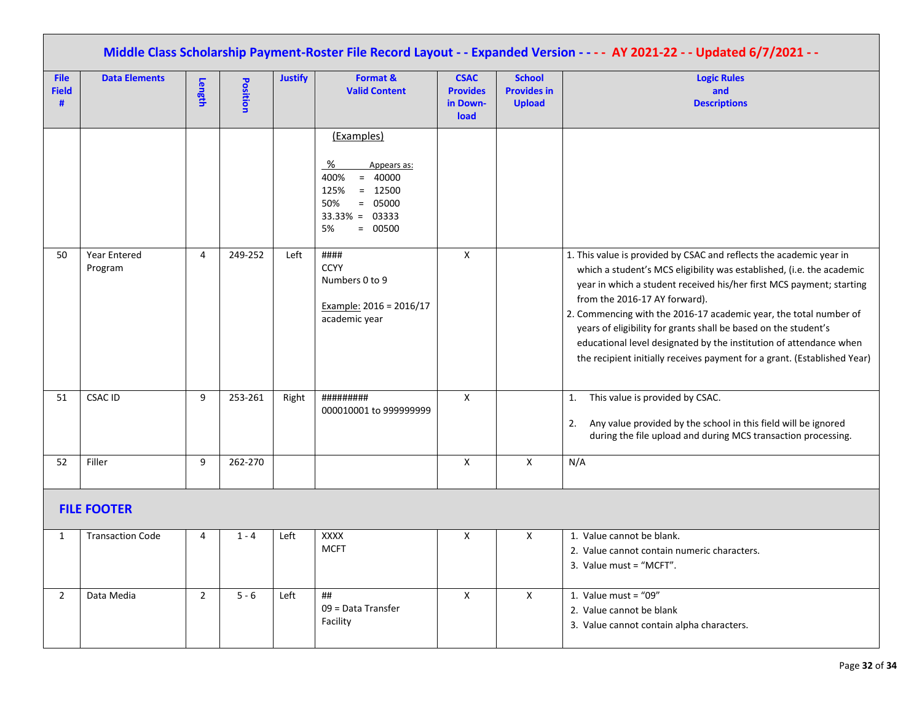|                                  |                                |                |          |                |                                                                                                                                      |                                                    |                                                      | Middle Class Scholarship Payment-Roster File Record Layout - - Expanded Version - - - - AY 2021-22 - - Updated 6/7/2021 - -                                                                                                                                                                                                                                                                                                                                                                                                                     |
|----------------------------------|--------------------------------|----------------|----------|----------------|--------------------------------------------------------------------------------------------------------------------------------------|----------------------------------------------------|------------------------------------------------------|-------------------------------------------------------------------------------------------------------------------------------------------------------------------------------------------------------------------------------------------------------------------------------------------------------------------------------------------------------------------------------------------------------------------------------------------------------------------------------------------------------------------------------------------------|
| <b>File</b><br><b>Field</b><br># | <b>Data Elements</b>           | Length         | Position | <b>Justify</b> | Format &<br><b>Valid Content</b>                                                                                                     | <b>CSAC</b><br><b>Provides</b><br>in Down-<br>load | <b>School</b><br><b>Provides in</b><br><b>Upload</b> | <b>Logic Rules</b><br>and<br><b>Descriptions</b>                                                                                                                                                                                                                                                                                                                                                                                                                                                                                                |
|                                  |                                |                |          |                | (Examples)<br>%<br>Appears as:<br>$= 40000$<br>400%<br>$= 12500$<br>125%<br>50%<br>$= 05000$<br>$33.33\% = 03333$<br>5%<br>$= 00500$ |                                                    |                                                      |                                                                                                                                                                                                                                                                                                                                                                                                                                                                                                                                                 |
| 50                               | <b>Year Entered</b><br>Program | 4              | 249-252  | Left           | ####<br><b>CCYY</b><br>Numbers 0 to 9<br>Example: 2016 = 2016/17<br>academic year                                                    | X                                                  |                                                      | 1. This value is provided by CSAC and reflects the academic year in<br>which a student's MCS eligibility was established, (i.e. the academic<br>year in which a student received his/her first MCS payment; starting<br>from the 2016-17 AY forward).<br>2. Commencing with the 2016-17 academic year, the total number of<br>years of eligibility for grants shall be based on the student's<br>educational level designated by the institution of attendance when<br>the recipient initially receives payment for a grant. (Established Year) |
| 51                               | <b>CSAC ID</b>                 | 9              | 253-261  | Right          | #########<br>000010001 to 999999999                                                                                                  | X                                                  |                                                      | This value is provided by CSAC.<br>1.<br>Any value provided by the school in this field will be ignored<br>2.<br>during the file upload and during MCS transaction processing.                                                                                                                                                                                                                                                                                                                                                                  |
| 52                               | Filler                         | 9              | 262-270  |                |                                                                                                                                      | X                                                  | Χ                                                    | N/A                                                                                                                                                                                                                                                                                                                                                                                                                                                                                                                                             |
|                                  | <b>FILE FOOTER</b>             |                |          |                |                                                                                                                                      |                                                    |                                                      |                                                                                                                                                                                                                                                                                                                                                                                                                                                                                                                                                 |
| 1                                | <b>Transaction Code</b>        | 4              | $1 - 4$  | Left           | <b>XXXX</b><br><b>MCFT</b>                                                                                                           | Χ                                                  | X                                                    | 1. Value cannot be blank.<br>2. Value cannot contain numeric characters.<br>3. Value must = "MCFT".                                                                                                                                                                                                                                                                                                                                                                                                                                             |
| $\overline{2}$                   | Data Media                     | $\overline{2}$ | $5 - 6$  | Left           | ##<br>09 = Data Transfer<br>Facility                                                                                                 | $\mathsf X$                                        | $\mathsf{X}$                                         | 1. Value must = " $09"$<br>2. Value cannot be blank<br>3. Value cannot contain alpha characters.                                                                                                                                                                                                                                                                                                                                                                                                                                                |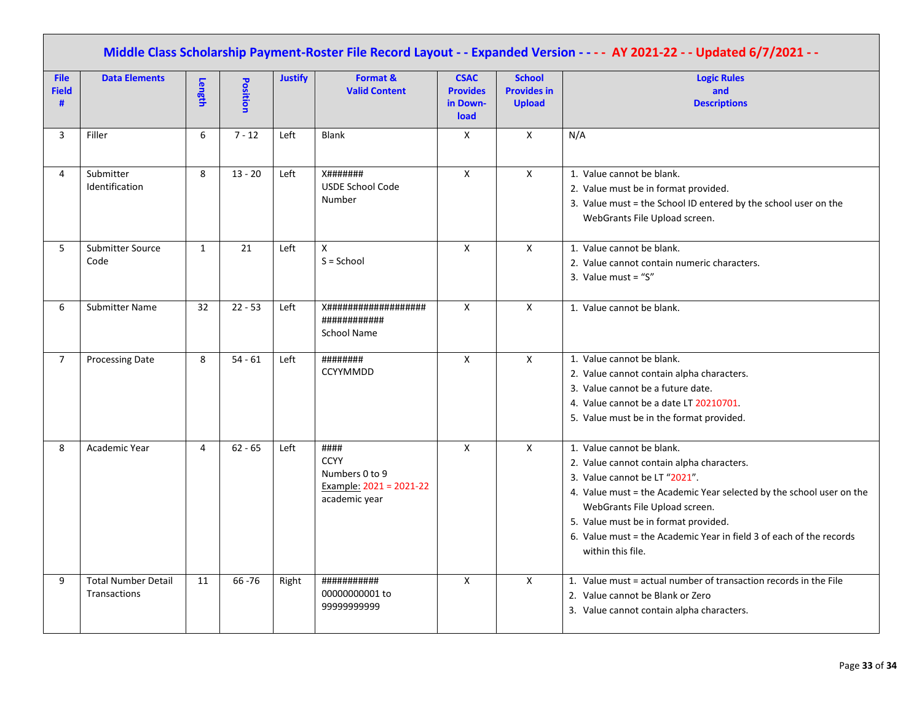|                                  | Middle Class Scholarship Payment-Roster File Record Layout - - Expanded Version - - - - AY 2021-22 - - Updated 6/7/2021 - - |              |           |                |                                                                                   |                                                    |                                                      |                                                                                                                                                                                                                                                                                                                                                      |  |  |  |  |
|----------------------------------|-----------------------------------------------------------------------------------------------------------------------------|--------------|-----------|----------------|-----------------------------------------------------------------------------------|----------------------------------------------------|------------------------------------------------------|------------------------------------------------------------------------------------------------------------------------------------------------------------------------------------------------------------------------------------------------------------------------------------------------------------------------------------------------------|--|--|--|--|
| <b>File</b><br><b>Field</b><br># | <b>Data Elements</b>                                                                                                        | Length       | Position  | <b>Justify</b> | Format &<br><b>Valid Content</b>                                                  | <b>CSAC</b><br><b>Provides</b><br>in Down-<br>load | <b>School</b><br><b>Provides in</b><br><b>Upload</b> | <b>Logic Rules</b><br>and<br><b>Descriptions</b>                                                                                                                                                                                                                                                                                                     |  |  |  |  |
| 3                                | Filler                                                                                                                      | 6            | $7 - 12$  | Left           | <b>Blank</b>                                                                      | Χ                                                  | X                                                    | N/A                                                                                                                                                                                                                                                                                                                                                  |  |  |  |  |
| 4                                | Submitter<br>Identification                                                                                                 | 8            | $13 - 20$ | Left           | <b>X#######</b><br><b>USDE School Code</b><br>Number                              | $\mathsf{X}$                                       | $\mathsf{X}$                                         | 1. Value cannot be blank.<br>2. Value must be in format provided.<br>3. Value must = the School ID entered by the school user on the<br>WebGrants File Upload screen.                                                                                                                                                                                |  |  |  |  |
| 5                                | Submitter Source<br>Code                                                                                                    | $\mathbf{1}$ | 21        | Left           | $\pmb{\mathsf{X}}$<br>$S =$ School                                                | $\pmb{\mathsf{X}}$                                 | $\pmb{\times}$                                       | 1. Value cannot be blank.<br>2. Value cannot contain numeric characters.<br>3. Value must = " $S$ "                                                                                                                                                                                                                                                  |  |  |  |  |
| 6                                | Submitter Name                                                                                                              | 32           | $22 - 53$ | Left           | ############<br>School Name                                                       | $\mathsf{X}$                                       | $\mathsf{x}$                                         | 1. Value cannot be blank.                                                                                                                                                                                                                                                                                                                            |  |  |  |  |
| $\overline{7}$                   | <b>Processing Date</b>                                                                                                      | 8            | $54 - 61$ | Left           | ########<br>CCYYMMDD                                                              | $\mathsf{X}$                                       | $\mathsf{X}$                                         | 1. Value cannot be blank.<br>2. Value cannot contain alpha characters.<br>3. Value cannot be a future date.<br>4. Value cannot be a date LT 20210701.<br>5. Value must be in the format provided.                                                                                                                                                    |  |  |  |  |
| 8                                | Academic Year                                                                                                               | 4            | $62 - 65$ | Left           | ####<br><b>CCYY</b><br>Numbers 0 to 9<br>Example: 2021 = 2021-22<br>academic year | $\pmb{\times}$                                     | $\mathsf{X}$                                         | 1. Value cannot be blank.<br>2. Value cannot contain alpha characters.<br>3. Value cannot be LT "2021".<br>4. Value must = the Academic Year selected by the school user on the<br>WebGrants File Upload screen.<br>5. Value must be in format provided.<br>6. Value must = the Academic Year in field 3 of each of the records<br>within this file. |  |  |  |  |
| 9                                | <b>Total Number Detail</b><br>Transactions                                                                                  | 11           | 66-76     | Right          | ###########<br>00000000001 to<br>9999999999                                       | X                                                  | $\mathsf{x}$                                         | 1. Value must = actual number of transaction records in the File<br>2. Value cannot be Blank or Zero<br>3. Value cannot contain alpha characters.                                                                                                                                                                                                    |  |  |  |  |